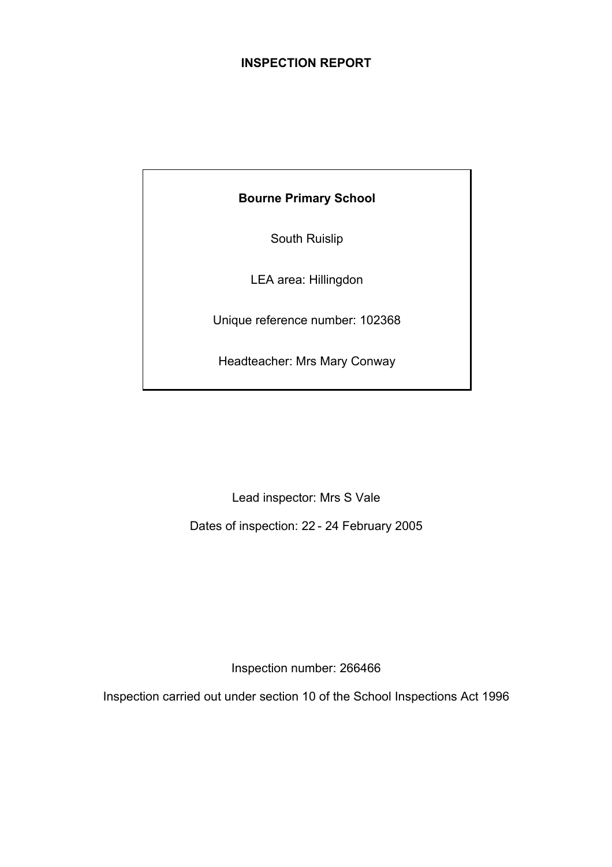## **INSPECTION REPORT**

**Bourne Primary School** 

South Ruislip

LEA area: Hillingdon

Unique reference number: 102368

Headteacher: Mrs Mary Conway

Lead inspector: Mrs S Vale

Dates of inspection: 22 - 24 February 2005

Inspection number: 266466

Inspection carried out under section 10 of the School Inspections Act 1996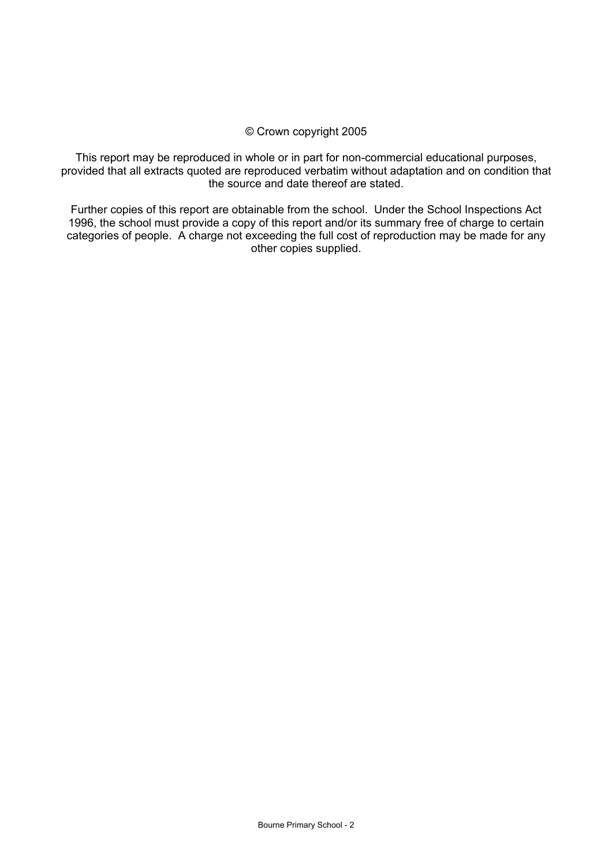## © Crown copyright 2005

This report may be reproduced in whole or in part for non-commercial educational purposes, provided that all extracts quoted are reproduced verbatim without adaptation and on condition that the source and date thereof are stated.

Further copies of this report are obtainable from the school. Under the School Inspections Act 1996, the school must provide a copy of this report and/or its summary free of charge to certain categories of people. A charge not exceeding the full cost of reproduction may be made for any other copies supplied.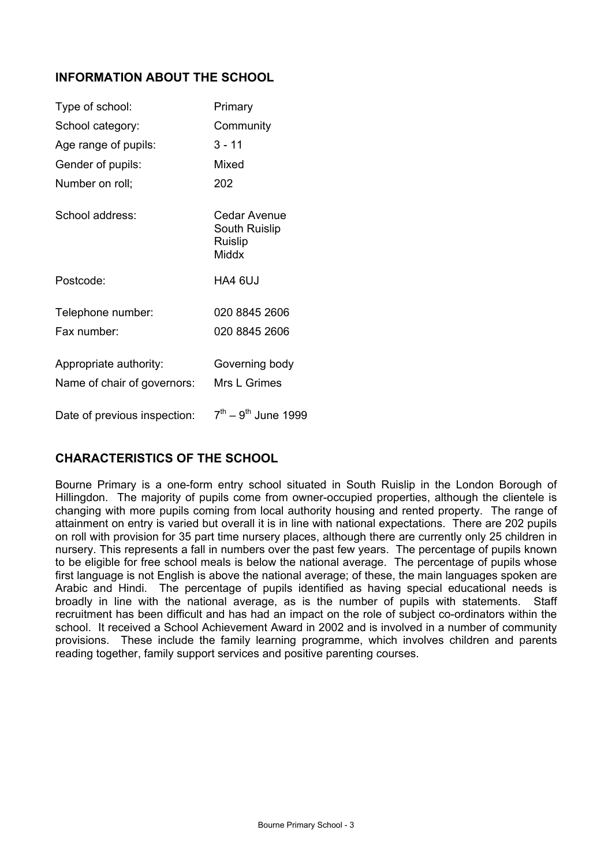## **INFORMATION ABOUT THE SCHOOL**

| Type of school:                                       | Primary                                           |
|-------------------------------------------------------|---------------------------------------------------|
| School category:                                      | Community                                         |
| Age range of pupils:                                  | $3 - 11$                                          |
| Gender of pupils:                                     | Mixed                                             |
| Number on roll;                                       | 202                                               |
| School address:                                       | Cedar Avenue<br>South Ruislip<br>Ruislip<br>Middx |
| Postcode:                                             | HA4 6UJ                                           |
| Telephone number:                                     | 020 8845 2606                                     |
| Fax number:                                           | 020 8845 2606                                     |
| Appropriate authority:<br>Name of chair of governors: | Governing body<br>Mrs L Grimes                    |
| Date of previous inspection:                          | $7^{th} - 9^{th}$ June 1999                       |

## **CHARACTERISTICS OF THE SCHOOL**

Bourne Primary is a one-form entry school situated in South Ruislip in the London Borough of Hillingdon. The majority of pupils come from owner-occupied properties, although the clientele is changing with more pupils coming from local authority housing and rented property. The range of attainment on entry is varied but overall it is in line with national expectations. There are 202 pupils on roll with provision for 35 part time nursery places, although there are currently only 25 children in nursery. This represents a fall in numbers over the past few years. The percentage of pupils known to be eligible for free school meals is below the national average. The percentage of pupils whose first language is not English is above the national average; of these, the main languages spoken are Arabic and Hindi. The percentage of pupils identified as having special educational needs is broadly in line with the national average, as is the number of pupils with statements. Staff recruitment has been difficult and has had an impact on the role of subject co-ordinators within the school. It received a School Achievement Award in 2002 and is involved in a number of community provisions. These include the family learning programme, which involves children and parents reading together, family support services and positive parenting courses.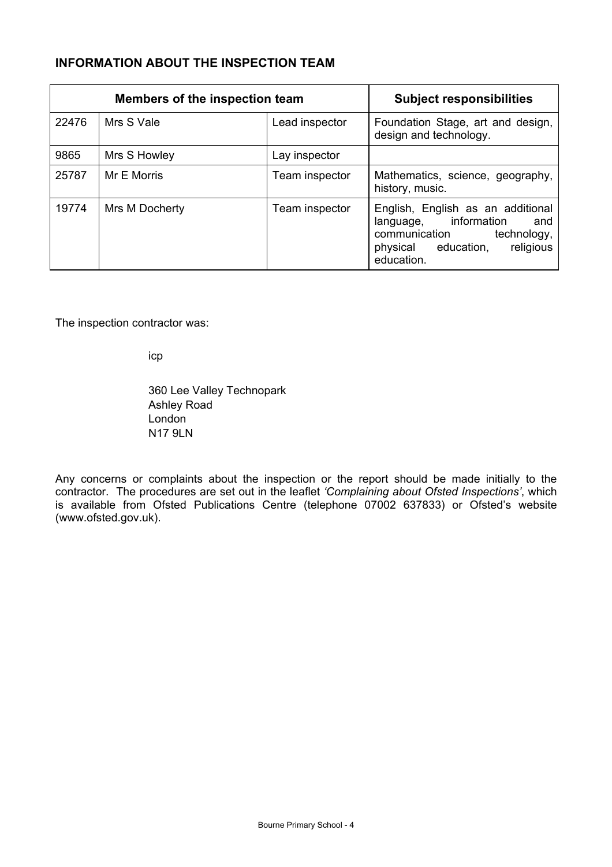## **INFORMATION ABOUT THE INSPECTION TEAM**

| Members of the inspection team |                | <b>Subject responsibilities</b> |                                                                                                                                                     |
|--------------------------------|----------------|---------------------------------|-----------------------------------------------------------------------------------------------------------------------------------------------------|
| 22476                          | Mrs S Vale     | Lead inspector                  | Foundation Stage, art and design,<br>design and technology.                                                                                         |
| 9865                           | Mrs S Howley   | Lay inspector                   |                                                                                                                                                     |
| 25787                          | Mr E Morris    | Team inspector                  | Mathematics, science, geography,<br>history, music.                                                                                                 |
| 19774                          | Mrs M Docherty | Team inspector                  | English, English as an additional<br>language, information<br>and<br>communication<br>technology,<br>religious<br>physical education,<br>education. |

The inspection contractor was:

icp

360 Lee Valley Technopark Ashley Road London N17 9LN

Any concerns or complaints about the inspection or the report should be made initially to the contractor. The procedures are set out in the leaflet *'Complaining about Ofsted Inspections'*, which is available from Ofsted Publications Centre (telephone 07002 637833) or Ofsted's website (www.ofsted.gov.uk).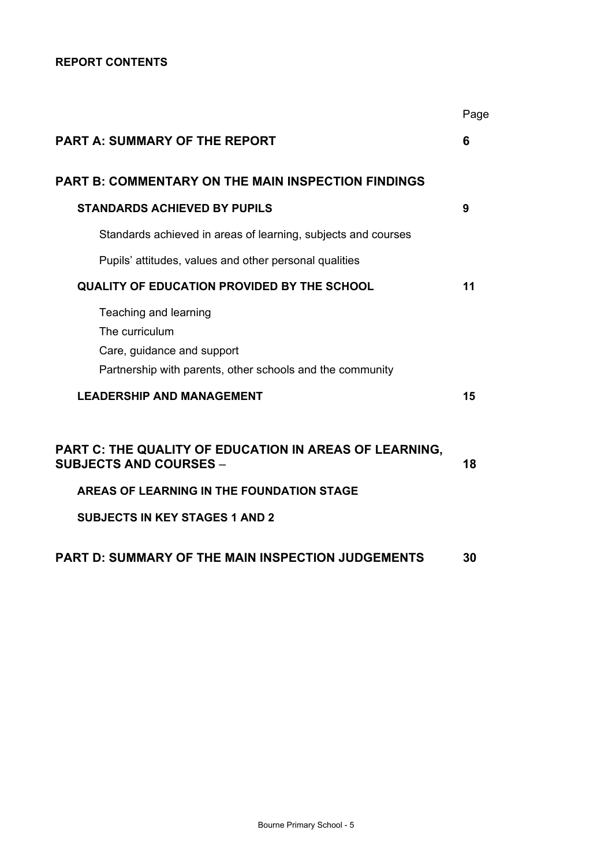## **REPORT CONTENTS**

|                                                                                                                                      | Page |
|--------------------------------------------------------------------------------------------------------------------------------------|------|
| <b>PART A: SUMMARY OF THE REPORT</b>                                                                                                 | 6    |
| PART B: COMMENTARY ON THE MAIN INSPECTION FINDINGS                                                                                   |      |
| <b>STANDARDS ACHIEVED BY PUPILS</b>                                                                                                  | 9    |
| Standards achieved in areas of learning, subjects and courses                                                                        |      |
| Pupils' attitudes, values and other personal qualities                                                                               |      |
| <b>QUALITY OF EDUCATION PROVIDED BY THE SCHOOL</b>                                                                                   | 11   |
| Teaching and learning<br>The curriculum<br>Care, guidance and support<br>Partnership with parents, other schools and the community   |      |
| <b>LEADERSHIP AND MANAGEMENT</b>                                                                                                     | 15   |
| PART C: THE QUALITY OF EDUCATION IN AREAS OF LEARNING,<br><b>SUBJECTS AND COURSES –</b><br>AREAS OF LEARNING IN THE FOUNDATION STAGE | 18   |
| <b>SUBJECTS IN KEY STAGES 1 AND 2</b>                                                                                                |      |
| PART D: SUMMARY OF THE MAIN INSPECTION JUDGEMENTS                                                                                    | 30   |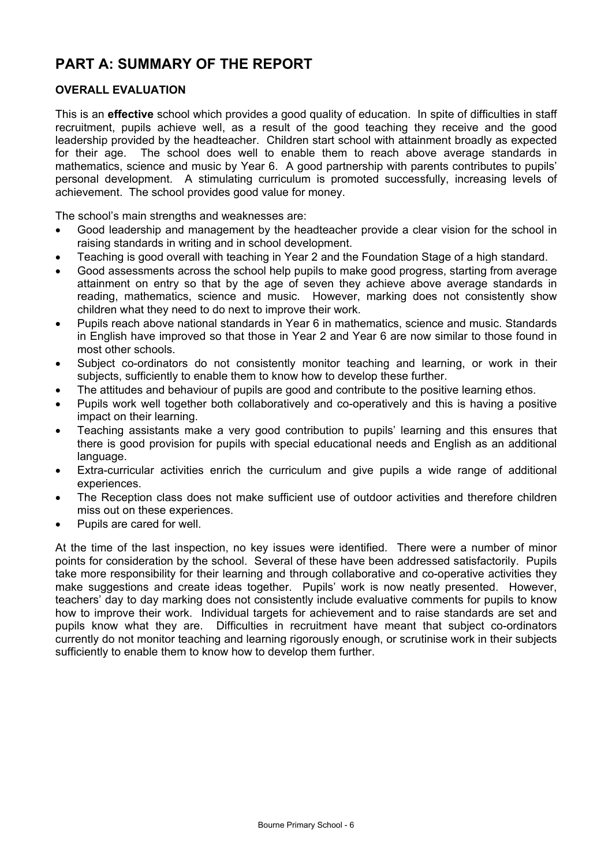# **PART A: SUMMARY OF THE REPORT**

## **OVERALL EVALUATION**

This is an **effective** school which provides a good quality of education. In spite of difficulties in staff recruitment, pupils achieve well, as a result of the good teaching they receive and the good leadership provided by the headteacher. Children start school with attainment broadly as expected for their age. The school does well to enable them to reach above average standards in mathematics, science and music by Year 6. A good partnership with parents contributes to pupils' personal development. A stimulating curriculum is promoted successfully, increasing levels of achievement. The school provides good value for money.

The school's main strengths and weaknesses are:

- Good leadership and management by the headteacher provide a clear vision for the school in raising standards in writing and in school development.
- Teaching is good overall with teaching in Year 2 and the Foundation Stage of a high standard.
- Good assessments across the school help pupils to make good progress, starting from average attainment on entry so that by the age of seven they achieve above average standards in reading, mathematics, science and music. However, marking does not consistently show children what they need to do next to improve their work.
- Pupils reach above national standards in Year 6 in mathematics, science and music. Standards in English have improved so that those in Year 2 and Year 6 are now similar to those found in most other schools.
- Subject co-ordinators do not consistently monitor teaching and learning, or work in their subjects, sufficiently to enable them to know how to develop these further.
- The attitudes and behaviour of pupils are good and contribute to the positive learning ethos.
- Pupils work well together both collaboratively and co-operatively and this is having a positive impact on their learning.
- Teaching assistants make a very good contribution to pupils' learning and this ensures that there is good provision for pupils with special educational needs and English as an additional language.
- Extra-curricular activities enrich the curriculum and give pupils a wide range of additional experiences.
- The Reception class does not make sufficient use of outdoor activities and therefore children miss out on these experiences.
- Pupils are cared for well.

At the time of the last inspection, no key issues were identified. There were a number of minor points for consideration by the school. Several of these have been addressed satisfactorily. Pupils take more responsibility for their learning and through collaborative and co-operative activities they make suggestions and create ideas together. Pupils' work is now neatly presented. However, teachers' day to day marking does not consistently include evaluative comments for pupils to know how to improve their work. Individual targets for achievement and to raise standards are set and pupils know what they are. Difficulties in recruitment have meant that subject co-ordinators currently do not monitor teaching and learning rigorously enough, or scrutinise work in their subjects sufficiently to enable them to know how to develop them further.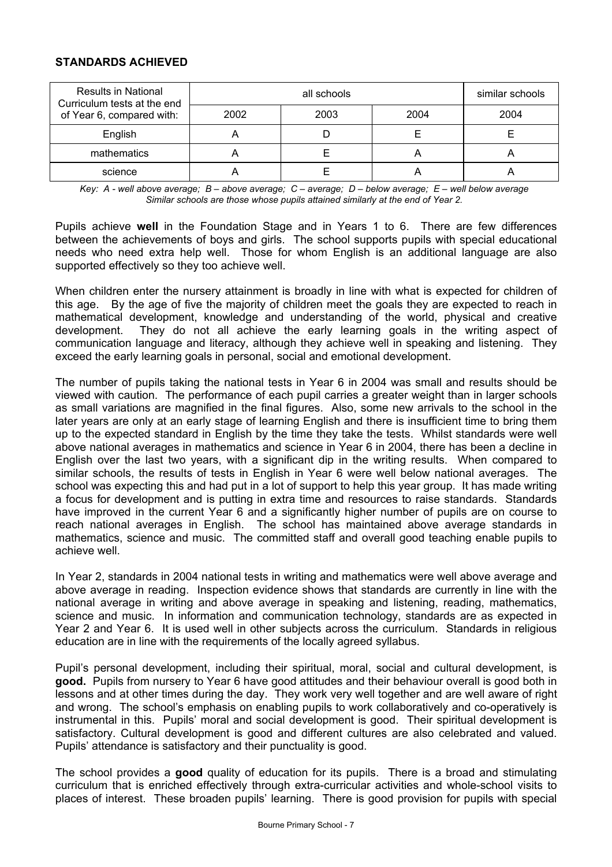## **STANDARDS ACHIEVED**

| <b>Results in National</b><br>Curriculum tests at the end |      | similar schools |      |      |
|-----------------------------------------------------------|------|-----------------|------|------|
| of Year 6, compared with:                                 | 2002 | 2003            | 2004 | 2004 |
| English                                                   |      |                 |      |      |
| mathematics                                               |      |                 | ∼    |      |
| science                                                   |      |                 |      |      |

*Key: A - well above average; B – above average; C – average; D – below average; E – well below average Similar schools are those whose pupils attained similarly at the end of Year 2.* 

Pupils achieve **well** in the Foundation Stage and in Years 1 to 6. There are few differences between the achievements of boys and girls. The school supports pupils with special educational needs who need extra help well. Those for whom English is an additional language are also supported effectively so they too achieve well.

When children enter the nursery attainment is broadly in line with what is expected for children of this age. By the age of five the majority of children meet the goals they are expected to reach in mathematical development, knowledge and understanding of the world, physical and creative development. They do not all achieve the early learning goals in the writing aspect of communication language and literacy, although they achieve well in speaking and listening. They exceed the early learning goals in personal, social and emotional development.

The number of pupils taking the national tests in Year 6 in 2004 was small and results should be viewed with caution. The performance of each pupil carries a greater weight than in larger schools as small variations are magnified in the final figures. Also, some new arrivals to the school in the later years are only at an early stage of learning English and there is insufficient time to bring them up to the expected standard in English by the time they take the tests. Whilst standards were well above national averages in mathematics and science in Year 6 in 2004, there has been a decline in English over the last two years, with a significant dip in the writing results. When compared to similar schools, the results of tests in English in Year 6 were well below national averages. The school was expecting this and had put in a lot of support to help this year group. It has made writing a focus for development and is putting in extra time and resources to raise standards. Standards have improved in the current Year 6 and a significantly higher number of pupils are on course to reach national averages in English. The school has maintained above average standards in mathematics, science and music. The committed staff and overall good teaching enable pupils to achieve well.

In Year 2, standards in 2004 national tests in writing and mathematics were well above average and above average in reading. Inspection evidence shows that standards are currently in line with the national average in writing and above average in speaking and listening, reading, mathematics, science and music. In information and communication technology, standards are as expected in Year 2 and Year 6. It is used well in other subjects across the curriculum. Standards in religious education are in line with the requirements of the locally agreed syllabus.

Pupil's personal development, including their spiritual, moral, social and cultural development, is **good.** Pupils from nursery to Year 6 have good attitudes and their behaviour overall is good both in lessons and at other times during the day. They work very well together and are well aware of right and wrong. The school's emphasis on enabling pupils to work collaboratively and co-operatively is instrumental in this. Pupils' moral and social development is good. Their spiritual development is satisfactory. Cultural development is good and different cultures are also celebrated and valued. Pupils' attendance is satisfactory and their punctuality is good.

The school provides a **good** quality of education for its pupils.There is a broad and stimulating curriculum that is enriched effectively through extra-curricular activities and whole-school visits to places of interest. These broaden pupils' learning. There is good provision for pupils with special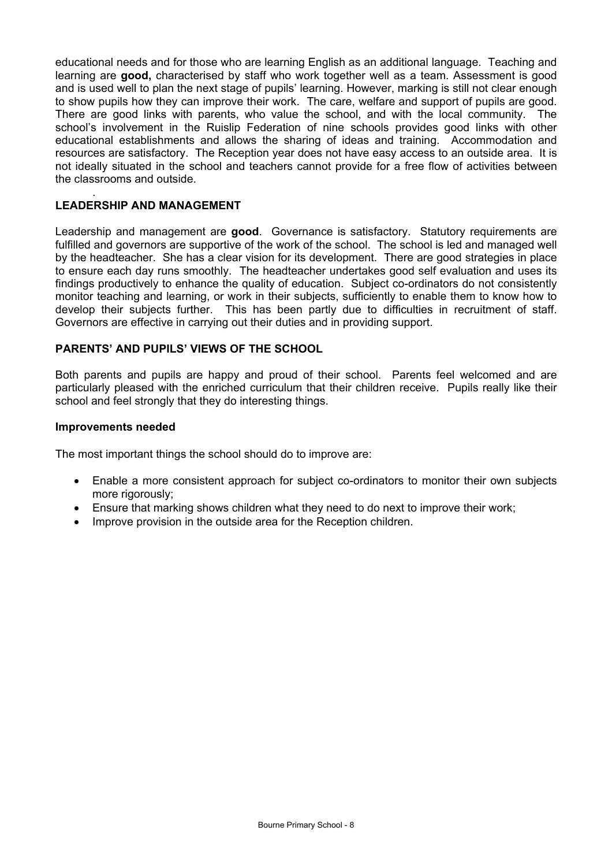educational needs and for those who are learning English as an additional language. Teaching and learning are **good,** characterised by staff who work together well as a team. Assessment is good and is used well to plan the next stage of pupils' learning. However, marking is still not clear enough to show pupils how they can improve their work. The care, welfare and support of pupils are good. There are good links with parents, who value the school, and with the local community. The school's involvement in the Ruislip Federation of nine schools provides good links with other educational establishments and allows the sharing of ideas and training. Accommodation and resources are satisfactory. The Reception year does not have easy access to an outside area. It is not ideally situated in the school and teachers cannot provide for a free flow of activities between the classrooms and outside.

#### . **LEADERSHIP AND MANAGEMENT**

Leadership and management are **good**. Governance is satisfactory. Statutory requirements are fulfilled and governors are supportive of the work of the school. The school is led and managed well by the headteacher. She has a clear vision for its development. There are good strategies in place to ensure each day runs smoothly. The headteacher undertakes good self evaluation and uses its findings productively to enhance the quality of education. Subject co-ordinators do not consistently monitor teaching and learning, or work in their subjects, sufficiently to enable them to know how to develop their subjects further. This has been partly due to difficulties in recruitment of staff. Governors are effective in carrying out their duties and in providing support.

## **PARENTS' AND PUPILS' VIEWS OF THE SCHOOL**

Both parents and pupils are happy and proud of their school. Parents feel welcomed and are particularly pleased with the enriched curriculum that their children receive. Pupils really like their school and feel strongly that they do interesting things.

#### **Improvements needed**

The most important things the school should do to improve are:

- Enable a more consistent approach for subject co-ordinators to monitor their own subjects more rigorously;
- Ensure that marking shows children what they need to do next to improve their work;
- Improve provision in the outside area for the Reception children.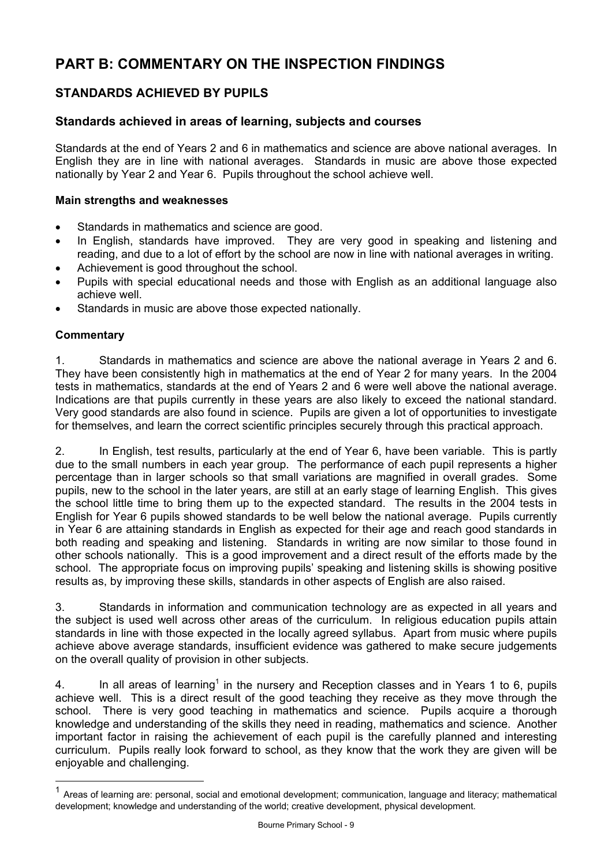# **PART B: COMMENTARY ON THE INSPECTION FINDINGS**

## **STANDARDS ACHIEVED BY PUPILS**

## **Standards achieved in areas of learning, subjects and courses**

Standards at the end of Years 2 and 6 in mathematics and science are above national averages. In English they are in line with national averages. Standards in music are above those expected nationally by Year 2 and Year 6. Pupils throughout the school achieve well.

## **Main strengths and weaknesses**

- Standards in mathematics and science are good.
- In English, standards have improved. They are very good in speaking and listening and reading, and due to a lot of effort by the school are now in line with national averages in writing.
- Achievement is good throughout the school.
- Pupils with special educational needs and those with English as an additional language also achieve well.
- Standards in music are above those expected nationally.

## **Commentary**

l

1. Standards in mathematics and science are above the national average in Years 2 and 6. They have been consistently high in mathematics at the end of Year 2 for many years. In the 2004 tests in mathematics, standards at the end of Years 2 and 6 were well above the national average. Indications are that pupils currently in these years are also likely to exceed the national standard. Very good standards are also found in science. Pupils are given a lot of opportunities to investigate for themselves, and learn the correct scientific principles securely through this practical approach.

2. In English, test results, particularly at the end of Year 6, have been variable. This is partly due to the small numbers in each year group. The performance of each pupil represents a higher percentage than in larger schools so that small variations are magnified in overall grades. Some pupils, new to the school in the later years, are still at an early stage of learning English. This gives the school little time to bring them up to the expected standard. The results in the 2004 tests in English for Year 6 pupils showed standards to be well below the national average. Pupils currently in Year 6 are attaining standards in English as expected for their age and reach good standards in both reading and speaking and listening. Standards in writing are now similar to those found in other schools nationally. This is a good improvement and a direct result of the efforts made by the school. The appropriate focus on improving pupils' speaking and listening skills is showing positive results as, by improving these skills, standards in other aspects of English are also raised.

3. Standards in information and communication technology are as expected in all years and the subject is used well across other areas of the curriculum. In religious education pupils attain standards in line with those expected in the locally agreed syllabus. Apart from music where pupils achieve above average standards, insufficient evidence was gathered to make secure judgements on the overall quality of provision in other subjects.

4. In all areas of learning<sup>1</sup> in the nursery and Reception classes and in Years 1 to 6, pupils achieve well. This is a direct result of the good teaching they receive as they move through the school. There is very good teaching in mathematics and science. Pupils acquire a thorough knowledge and understanding of the skills they need in reading, mathematics and science. Another important factor in raising the achievement of each pupil is the carefully planned and interesting curriculum. Pupils really look forward to school, as they know that the work they are given will be enjoyable and challenging.

 $1$  Areas of learning are: personal, social and emotional development; communication, language and literacy; mathematical development; knowledge and understanding of the world; creative development, physical development.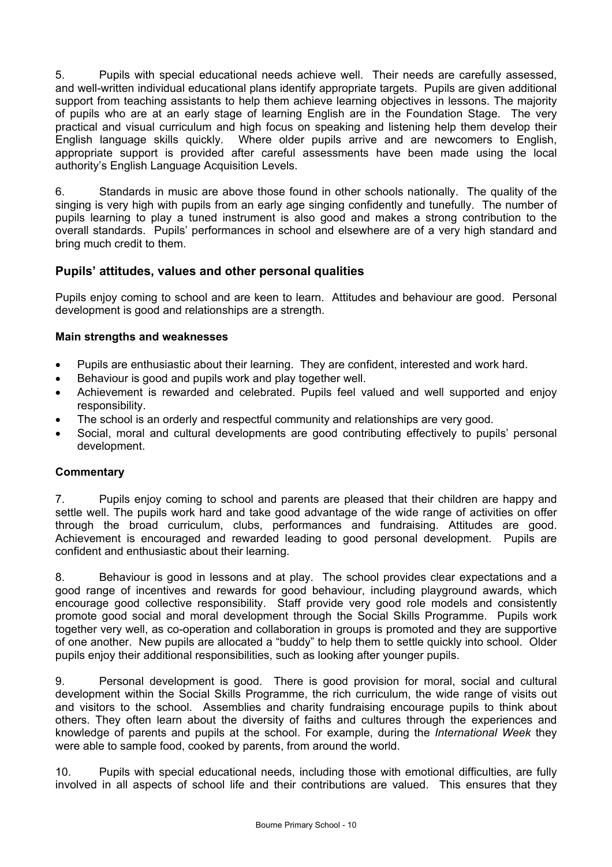5. Pupils with special educational needs achieve well. Their needs are carefully assessed, and well-written individual educational plans identify appropriate targets. Pupils are given additional support from teaching assistants to help them achieve learning objectives in lessons. The majority of pupils who are at an early stage of learning English are in the Foundation Stage. The very practical and visual curriculum and high focus on speaking and listening help them develop their English language skills quickly. Where older pupils arrive and are newcomers to English, appropriate support is provided after careful assessments have been made using the local authority's English Language Acquisition Levels.

6. Standards in music are above those found in other schools nationally. The quality of the singing is very high with pupils from an early age singing confidently and tunefully. The number of pupils learning to play a tuned instrument is also good and makes a strong contribution to the overall standards. Pupils' performances in school and elsewhere are of a very high standard and bring much credit to them.

## **Pupils' attitudes, values and other personal qualities**

Pupils enjoy coming to school and are keen to learn. Attitudes and behaviour are good. Personal development is good and relationships are a strength.

## **Main strengths and weaknesses**

- Pupils are enthusiastic about their learning. They are confident, interested and work hard.
- Behaviour is good and pupils work and play together well.
- Achievement is rewarded and celebrated. Pupils feel valued and well supported and enjoy responsibility.
- The school is an orderly and respectful community and relationships are very good.
- Social, moral and cultural developments are good contributing effectively to pupils' personal development.

## **Commentary**

7. Pupils enjoy coming to school and parents are pleased that their children are happy and settle well. The pupils work hard and take good advantage of the wide range of activities on offer through the broad curriculum, clubs, performances and fundraising. Attitudes are good. Achievement is encouraged and rewarded leading to good personal development. Pupils are confident and enthusiastic about their learning.

8. Behaviour is good in lessons and at play. The school provides clear expectations and a good range of incentives and rewards for good behaviour, including playground awards, which encourage good collective responsibility. Staff provide very good role models and consistently promote good social and moral development through the Social Skills Programme. Pupils work together very well, as co-operation and collaboration in groups is promoted and they are supportive of one another. New pupils are allocated a "buddy" to help them to settle quickly into school. Older pupils enjoy their additional responsibilities, such as looking after younger pupils.

9. Personal development is good. There is good provision for moral, social and cultural development within the Social Skills Programme, the rich curriculum, the wide range of visits out and visitors to the school. Assemblies and charity fundraising encourage pupils to think about others. They often learn about the diversity of faiths and cultures through the experiences and knowledge of parents and pupils at the school. For example, during the *International Week* they were able to sample food, cooked by parents, from around the world.

10. Pupils with special educational needs, including those with emotional difficulties, are fully involved in all aspects of school life and their contributions are valued. This ensures that they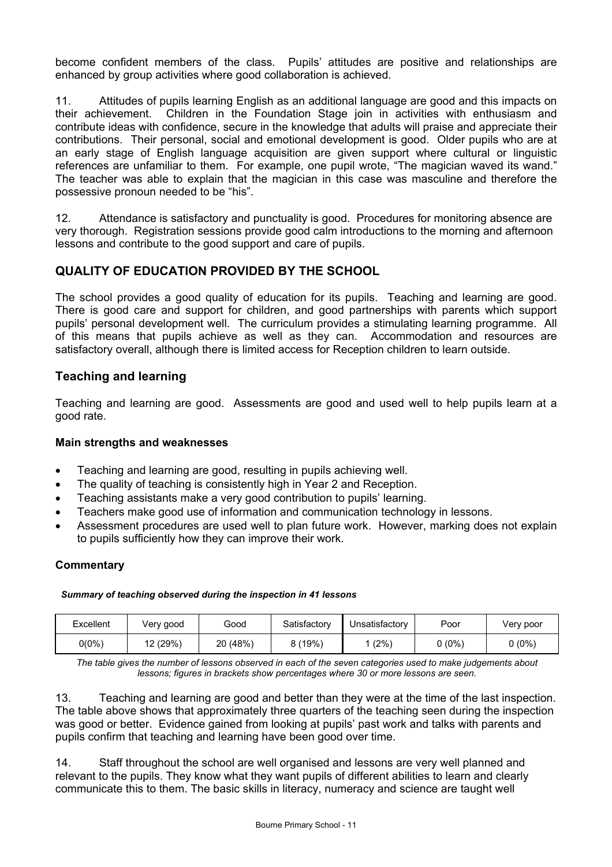become confident members of the class. Pupils' attitudes are positive and relationships are enhanced by group activities where good collaboration is achieved.

11. Attitudes of pupils learning English as an additional language are good and this impacts on their achievement. Children in the Foundation Stage join in activities with enthusiasm and contribute ideas with confidence, secure in the knowledge that adults will praise and appreciate their contributions. Their personal, social and emotional development is good. Older pupils who are at an early stage of English language acquisition are given support where cultural or linguistic references are unfamiliar to them. For example, one pupil wrote, "The magician waved its wand." The teacher was able to explain that the magician in this case was masculine and therefore the possessive pronoun needed to be "his".

12. Attendance is satisfactory and punctuality is good. Procedures for monitoring absence are very thorough. Registration sessions provide good calm introductions to the morning and afternoon lessons and contribute to the good support and care of pupils.

## **QUALITY OF EDUCATION PROVIDED BY THE SCHOOL**

The school provides a good quality of education for its pupils. Teaching and learning are good. There is good care and support for children, and good partnerships with parents which support pupils' personal development well. The curriculum provides a stimulating learning programme. All of this means that pupils achieve as well as they can. Accommodation and resources are satisfactory overall, although there is limited access for Reception children to learn outside.

## **Teaching and learning**

Teaching and learning are good. Assessments are good and used well to help pupils learn at a good rate.

## **Main strengths and weaknesses**

- Teaching and learning are good, resulting in pupils achieving well.
- The quality of teaching is consistently high in Year 2 and Reception.
- Teaching assistants make a very good contribution to pupils' learning.
- Teachers make good use of information and communication technology in lessons.
- Assessment procedures are used well to plan future work. However, marking does not explain to pupils sufficiently how they can improve their work.

## **Commentary**

#### *Summary of teaching observed during the inspection in 41 lessons*

| Excellent | Very good | Good     | Satisfactory | Unsatisfactory | Poor   | Very poor |
|-----------|-----------|----------|--------------|----------------|--------|-----------|
| $0(0\%)$  | 12 (29%)  | 20 (48%) | 8 (19%)      | (2%)           | 0 (0%) | $0(0\%)$  |

*The table gives the number of lessons observed in each of the seven categories used to make judgements about lessons; figures in brackets show percentages where 30 or more lessons are seen.*

13. Teaching and learning are good and better than they were at the time of the last inspection. The table above shows that approximately three quarters of the teaching seen during the inspection was good or better. Evidence gained from looking at pupils' past work and talks with parents and pupils confirm that teaching and learning have been good over time.

14. Staff throughout the school are well organised and lessons are very well planned and relevant to the pupils. They know what they want pupils of different abilities to learn and clearly communicate this to them. The basic skills in literacy, numeracy and science are taught well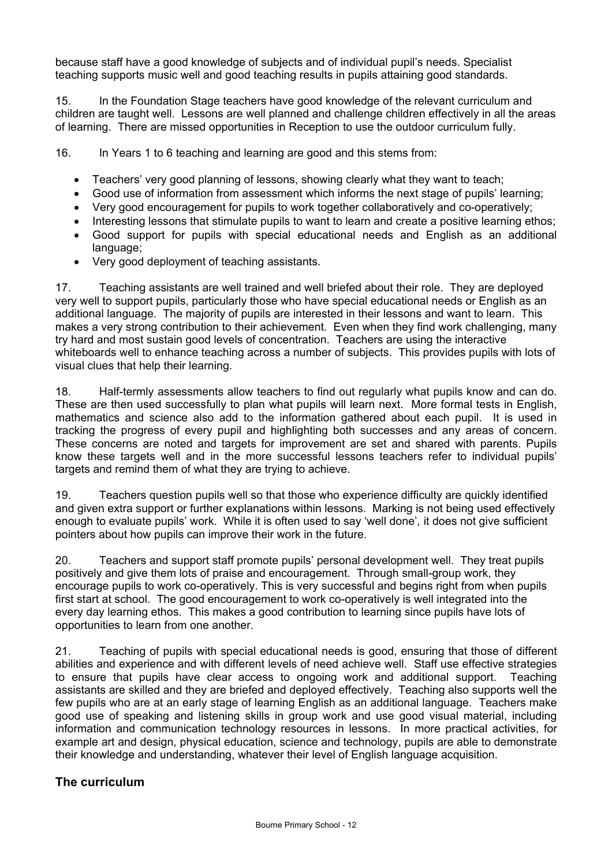because staff have a good knowledge of subjects and of individual pupil's needs. Specialist teaching supports music well and good teaching results in pupils attaining good standards.

15. In the Foundation Stage teachers have good knowledge of the relevant curriculum and children are taught well. Lessons are well planned and challenge children effectively in all the areas of learning. There are missed opportunities in Reception to use the outdoor curriculum fully.

16. In Years 1 to 6 teaching and learning are good and this stems from:

- Teachers' very good planning of lessons, showing clearly what they want to teach;
- Good use of information from assessment which informs the next stage of pupils' learning;
- Very good encouragement for pupils to work together collaboratively and co-operatively;
- Interesting lessons that stimulate pupils to want to learn and create a positive learning ethos;
- Good support for pupils with special educational needs and English as an additional language:
- Very good deployment of teaching assistants.

17. Teaching assistants are well trained and well briefed about their role. They are deployed very well to support pupils, particularly those who have special educational needs or English as an additional language. The majority of pupils are interested in their lessons and want to learn. This makes a very strong contribution to their achievement. Even when they find work challenging, many try hard and most sustain good levels of concentration. Teachers are using the interactive whiteboards well to enhance teaching across a number of subjects. This provides pupils with lots of visual clues that help their learning.

18. Half-termly assessments allow teachers to find out regularly what pupils know and can do. These are then used successfully to plan what pupils will learn next. More formal tests in English, mathematics and science also add to the information gathered about each pupil. It is used in tracking the progress of every pupil and highlighting both successes and any areas of concern. These concerns are noted and targets for improvement are set and shared with parents. Pupils know these targets well and in the more successful lessons teachers refer to individual pupils' targets and remind them of what they are trying to achieve.

19. Teachers question pupils well so that those who experience difficulty are quickly identified and given extra support or further explanations within lessons. Marking is not being used effectively enough to evaluate pupils' work. While it is often used to say 'well done'*,* it does not give sufficient pointers about how pupils can improve their work in the future.

20. Teachers and support staff promote pupils' personal development well. They treat pupils positively and give them lots of praise and encouragement. Through small-group work, they encourage pupils to work co-operatively. This is very successful and begins right from when pupils first start at school. The good encouragement to work co-operatively is well integrated into the every day learning ethos. This makes a good contribution to learning since pupils have lots of opportunities to learn from one another.

21. Teaching of pupils with special educational needs is good, ensuring that those of different abilities and experience and with different levels of need achieve well. Staff use effective strategies to ensure that pupils have clear access to ongoing work and additional support. Teaching assistants are skilled and they are briefed and deployed effectively. Teaching also supports well the few pupils who are at an early stage of learning English as an additional language. Teachers make good use of speaking and listening skills in group work and use good visual material, including information and communication technology resources in lessons. In more practical activities, for example art and design, physical education, science and technology, pupils are able to demonstrate their knowledge and understanding, whatever their level of English language acquisition.

## **The curriculum**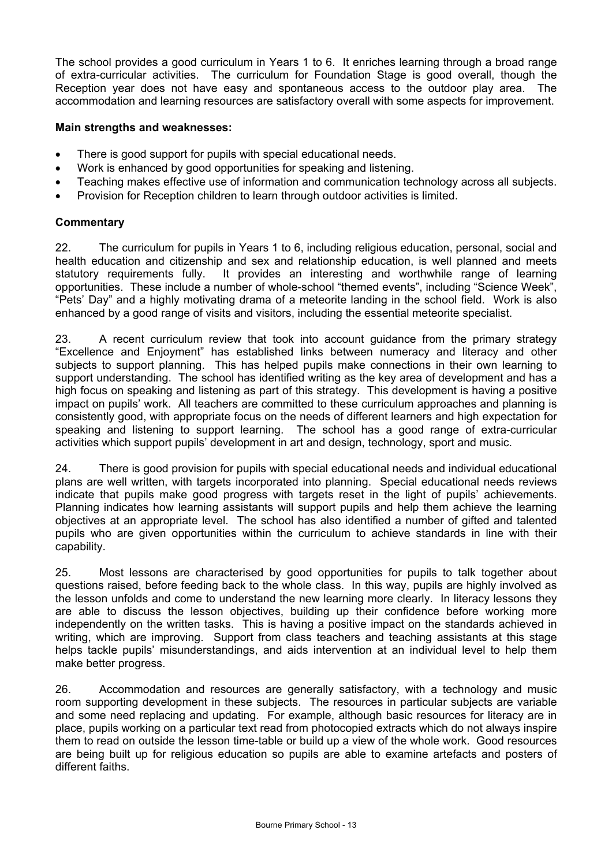The school provides a good curriculum in Years 1 to 6. It enriches learning through a broad range of extra-curricular activities. The curriculum for Foundation Stage is good overall, though the Reception year does not have easy and spontaneous access to the outdoor play area. The accommodation and learning resources are satisfactory overall with some aspects for improvement.

## **Main strengths and weaknesses:**

- There is good support for pupils with special educational needs.
- Work is enhanced by good opportunities for speaking and listening.
- Teaching makes effective use of information and communication technology across all subjects.
- Provision for Reception children to learn through outdoor activities is limited.

## **Commentary**

22. The curriculum for pupils in Years 1 to 6, including religious education, personal, social and health education and citizenship and sex and relationship education, is well planned and meets statutory requirements fully. It provides an interesting and worthwhile range of learning opportunities. These include a number of whole-school "themed events", including "Science Week", "Pets' Day" and a highly motivating drama of a meteorite landing in the school field. Work is also enhanced by a good range of visits and visitors, including the essential meteorite specialist.

23. A recent curriculum review that took into account guidance from the primary strategy "Excellence and Enjoyment" has established links between numeracy and literacy and other subjects to support planning. This has helped pupils make connections in their own learning to support understanding. The school has identified writing as the key area of development and has a high focus on speaking and listening as part of this strategy. This development is having a positive impact on pupils' work. All teachers are committed to these curriculum approaches and planning is consistently good, with appropriate focus on the needs of different learners and high expectation for speaking and listening to support learning. The school has a good range of extra-curricular activities which support pupils' development in art and design, technology, sport and music.

24. There is good provision for pupils with special educational needs and individual educational plans are well written, with targets incorporated into planning. Special educational needs reviews indicate that pupils make good progress with targets reset in the light of pupils' achievements. Planning indicates how learning assistants will support pupils and help them achieve the learning objectives at an appropriate level. The school has also identified a number of gifted and talented pupils who are given opportunities within the curriculum to achieve standards in line with their capability.

25. Most lessons are characterised by good opportunities for pupils to talk together about questions raised, before feeding back to the whole class. In this way, pupils are highly involved as the lesson unfolds and come to understand the new learning more clearly. In literacy lessons they are able to discuss the lesson objectives, building up their confidence before working more independently on the written tasks. This is having a positive impact on the standards achieved in writing, which are improving. Support from class teachers and teaching assistants at this stage helps tackle pupils' misunderstandings, and aids intervention at an individual level to help them make better progress.

26. Accommodation and resources are generally satisfactory, with a technology and music room supporting development in these subjects. The resources in particular subjects are variable and some need replacing and updating. For example, although basic resources for literacy are in place, pupils working on a particular text read from photocopied extracts which do not always inspire them to read on outside the lesson time-table or build up a view of the whole work. Good resources are being built up for religious education so pupils are able to examine artefacts and posters of different faiths.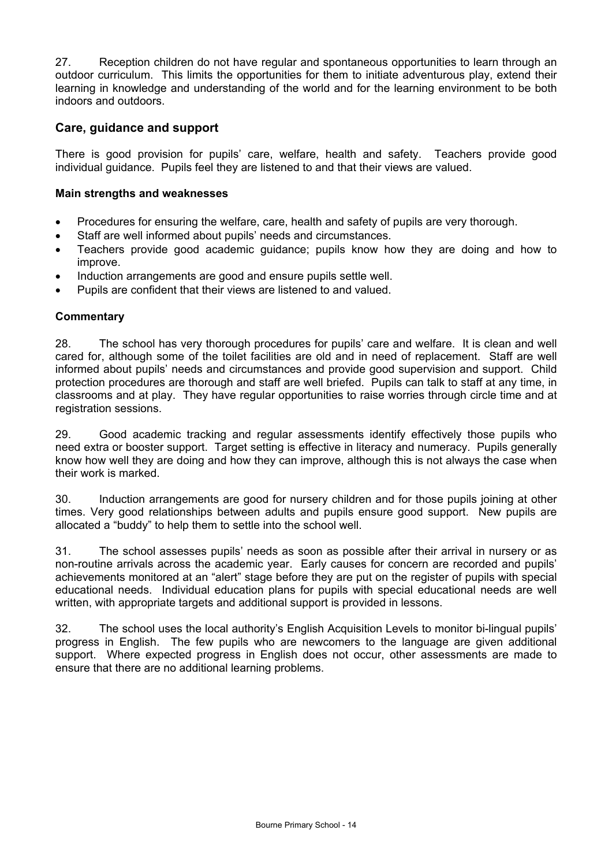27. Reception children do not have regular and spontaneous opportunities to learn through an outdoor curriculum. This limits the opportunities for them to initiate adventurous play, extend their learning in knowledge and understanding of the world and for the learning environment to be both indoors and outdoors.

## **Care, guidance and support**

There is good provision for pupils' care, welfare, health and safety. Teachers provide good individual guidance. Pupils feel they are listened to and that their views are valued.

## **Main strengths and weaknesses**

- Procedures for ensuring the welfare, care, health and safety of pupils are very thorough.
- Staff are well informed about pupils' needs and circumstances.
- Teachers provide good academic guidance; pupils know how they are doing and how to improve.
- Induction arrangements are good and ensure pupils settle well.
- Pupils are confident that their views are listened to and valued.

## **Commentary**

28. The school has very thorough procedures for pupils' care and welfare. It is clean and well cared for, although some of the toilet facilities are old and in need of replacement. Staff are well informed about pupils' needs and circumstances and provide good supervision and support. Child protection procedures are thorough and staff are well briefed. Pupils can talk to staff at any time, in classrooms and at play. They have regular opportunities to raise worries through circle time and at registration sessions.

29. Good academic tracking and regular assessments identify effectively those pupils who need extra or booster support. Target setting is effective in literacy and numeracy. Pupils generally know how well they are doing and how they can improve, although this is not always the case when their work is marked.

30. Induction arrangements are good for nursery children and for those pupils joining at other times. Very good relationships between adults and pupils ensure good support. New pupils are allocated a "buddy" to help them to settle into the school well.

31. The school assesses pupils' needs as soon as possible after their arrival in nursery or as non-routine arrivals across the academic year. Early causes for concern are recorded and pupils' achievements monitored at an "alert" stage before they are put on the register of pupils with special educational needs. Individual education plans for pupils with special educational needs are well written, with appropriate targets and additional support is provided in lessons.

32. The school uses the local authority's English Acquisition Levels to monitor bi-lingual pupils' progress in English. The few pupils who are newcomers to the language are given additional support. Where expected progress in English does not occur, other assessments are made to ensure that there are no additional learning problems.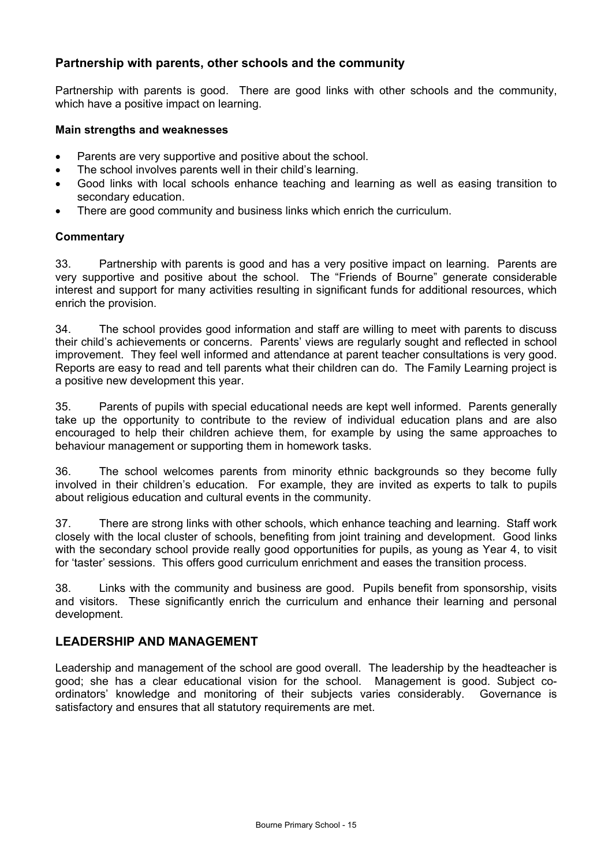## **Partnership with parents, other schools and the community**

Partnership with parents is good. There are good links with other schools and the community, which have a positive impact on learning.

#### **Main strengths and weaknesses**

- Parents are very supportive and positive about the school.
- The school involves parents well in their child's learning.
- Good links with local schools enhance teaching and learning as well as easing transition to secondary education.
- There are good community and business links which enrich the curriculum.

## **Commentary**

33. Partnership with parents is good and has a very positive impact on learning. Parents are very supportive and positive about the school. The "Friends of Bourne" generate considerable interest and support for many activities resulting in significant funds for additional resources, which enrich the provision.

34. The school provides good information and staff are willing to meet with parents to discuss their child's achievements or concerns. Parents' views are regularly sought and reflected in school improvement. They feel well informed and attendance at parent teacher consultations is very good. Reports are easy to read and tell parents what their children can do. The Family Learning project is a positive new development this year.

35. Parents of pupils with special educational needs are kept well informed. Parents generally take up the opportunity to contribute to the review of individual education plans and are also encouraged to help their children achieve them, for example by using the same approaches to behaviour management or supporting them in homework tasks.

36. The school welcomes parents from minority ethnic backgrounds so they become fully involved in their children's education. For example, they are invited as experts to talk to pupils about religious education and cultural events in the community.

37. There are strong links with other schools, which enhance teaching and learning. Staff work closely with the local cluster of schools, benefiting from joint training and development. Good links with the secondary school provide really good opportunities for pupils, as young as Year 4, to visit for 'taster' sessions. This offers good curriculum enrichment and eases the transition process.

38. Links with the community and business are good. Pupils benefit from sponsorship, visits and visitors. These significantly enrich the curriculum and enhance their learning and personal development.

## **LEADERSHIP AND MANAGEMENT**

Leadership and management of the school are good overall. The leadership by the headteacher is good; she has a clear educational vision for the school. Management is good. Subject coordinators' knowledge and monitoring of their subjects varies considerably. Governance is satisfactory and ensures that all statutory requirements are met.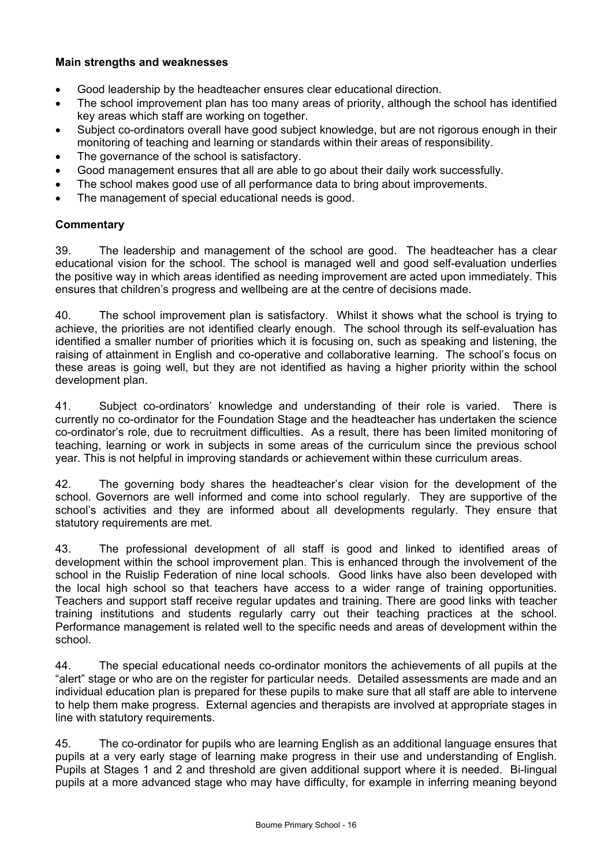## **Main strengths and weaknesses**

- Good leadership by the headteacher ensures clear educational direction.
- The school improvement plan has too many areas of priority, although the school has identified key areas which staff are working on together.
- Subject co-ordinators overall have good subject knowledge, but are not rigorous enough in their monitoring of teaching and learning or standards within their areas of responsibility.
- The governance of the school is satisfactory.
- Good management ensures that all are able to go about their daily work successfully.
- The school makes good use of all performance data to bring about improvements.
- The management of special educational needs is good.

## **Commentary**

39. The leadership and management of the school are good. The headteacher has a clear educational vision for the school. The school is managed well and good self-evaluation underlies the positive way in which areas identified as needing improvement are acted upon immediately. This ensures that children's progress and wellbeing are at the centre of decisions made.

40. The school improvement plan is satisfactory. Whilst it shows what the school is trying to achieve, the priorities are not identified clearly enough. The school through its self-evaluation has identified a smaller number of priorities which it is focusing on, such as speaking and listening, the raising of attainment in English and co-operative and collaborative learning. The school's focus on these areas is going well, but they are not identified as having a higher priority within the school development plan.

41. Subject co-ordinators' knowledge and understanding of their role is varied. There is currently no co-ordinator for the Foundation Stage and the headteacher has undertaken the science co-ordinator's role, due to recruitment difficulties. As a result, there has been limited monitoring of teaching, learning or work in subjects in some areas of the curriculum since the previous school year. This is not helpful in improving standards or achievement within these curriculum areas.

42. The governing body shares the headteacher's clear vision for the development of the school. Governors are well informed and come into school regularly. They are supportive of the school's activities and they are informed about all developments regularly. They ensure that statutory requirements are met.

43. The professional development of all staff is good and linked to identified areas of development within the school improvement plan. This is enhanced through the involvement of the school in the Ruislip Federation of nine local schools. Good links have also been developed with the local high school so that teachers have access to a wider range of training opportunities. Teachers and support staff receive regular updates and training. There are good links with teacher training institutions and students regularly carry out their teaching practices at the school. Performance management is related well to the specific needs and areas of development within the school.

44. The special educational needs co-ordinator monitors the achievements of all pupils at the "alert" stage or who are on the register for particular needs. Detailed assessments are made and an individual education plan is prepared for these pupils to make sure that all staff are able to intervene to help them make progress. External agencies and therapists are involved at appropriate stages in line with statutory requirements.

45. The co-ordinator for pupils who are learning English as an additional language ensures that pupils at a very early stage of learning make progress in their use and understanding of English. Pupils at Stages 1 and 2 and threshold are given additional support where it is needed. Bi-lingual pupils at a more advanced stage who may have difficulty, for example in inferring meaning beyond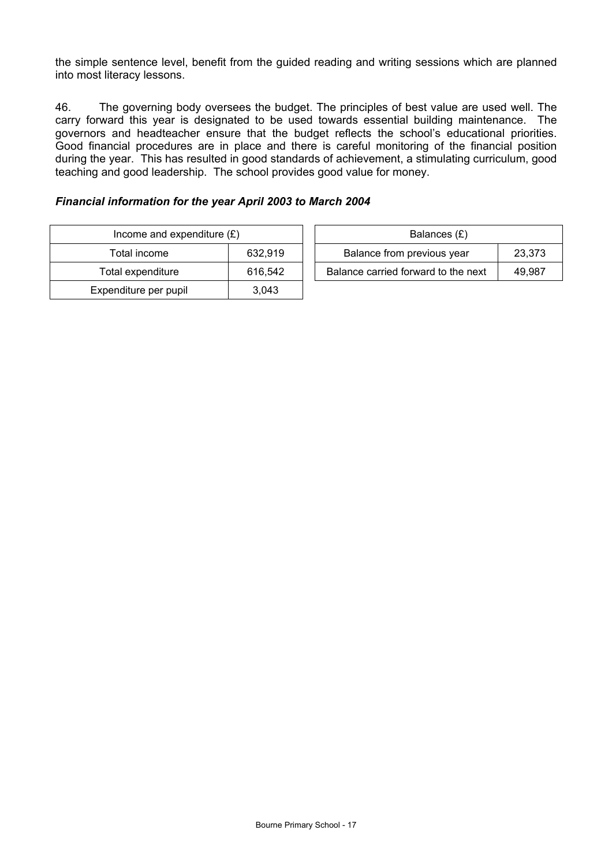the simple sentence level, benefit from the guided reading and writing sessions which are planned into most literacy lessons.

46. The governing body oversees the budget. The principles of best value are used well. The carry forward this year is designated to be used towards essential building maintenance. The governors and headteacher ensure that the budget reflects the school's educational priorities. Good financial procedures are in place and there is careful monitoring of the financial position during the year. This has resulted in good standards of achievement, a stimulating curriculum, good teaching and good leadership. The school provides good value for money.

## *Financial information for the year April 2003 to March 2004*

| Income and expenditure $(E)$ |         |                                     | Balances (£) |        |
|------------------------------|---------|-------------------------------------|--------------|--------|
| Total income                 | 632.919 | Balance from previous year          |              | 23.373 |
| Total expenditure            | 616.542 | Balance carried forward to the next |              | 49.987 |
| Expenditure per pupil        | 3,043   |                                     |              |        |

| Balances (£)                        |        |
|-------------------------------------|--------|
| Balance from previous year          | 23,373 |
| Balance carried forward to the next | 49.987 |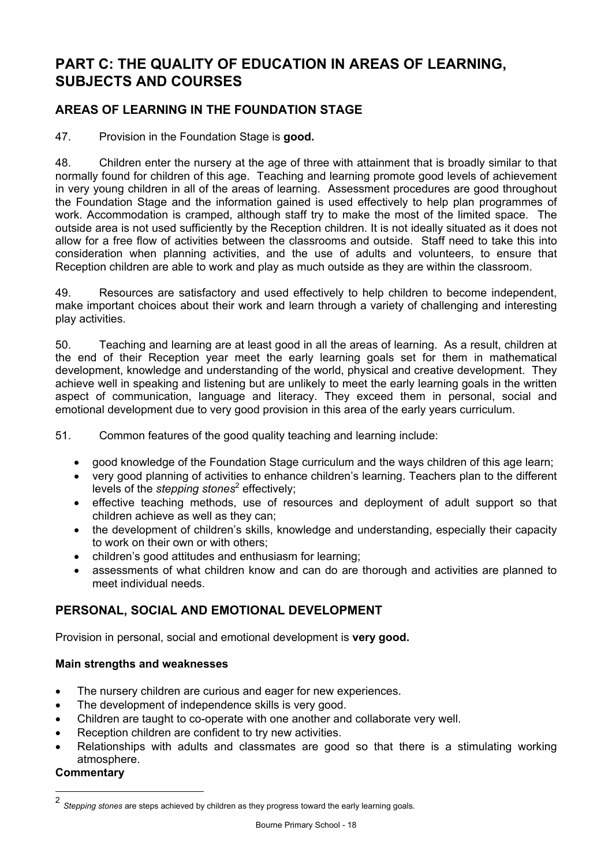# **PART C: THE QUALITY OF EDUCATION IN AREAS OF LEARNING, SUBJECTS AND COURSES**

## **AREAS OF LEARNING IN THE FOUNDATION STAGE**

47. Provision in the Foundation Stage is **good.** 

48. Children enter the nursery at the age of three with attainment that is broadly similar to that normally found for children of this age. Teaching and learning promote good levels of achievement in very young children in all of the areas of learning. Assessment procedures are good throughout the Foundation Stage and the information gained is used effectively to help plan programmes of work. Accommodation is cramped, although staff try to make the most of the limited space. The outside area is not used sufficiently by the Reception children. It is not ideally situated as it does not allow for a free flow of activities between the classrooms and outside. Staff need to take this into consideration when planning activities, and the use of adults and volunteers, to ensure that Reception children are able to work and play as much outside as they are within the classroom.

49. Resources are satisfactory and used effectively to help children to become independent, make important choices about their work and learn through a variety of challenging and interesting play activities.

50. Teaching and learning are at least good in all the areas of learning. As a result, children at the end of their Reception year meet the early learning goals set for them in mathematical development, knowledge and understanding of the world, physical and creative development. They achieve well in speaking and listening but are unlikely to meet the early learning goals in the written aspect of communication, language and literacy. They exceed them in personal, social and emotional development due to very good provision in this area of the early years curriculum.

51. Common features of the good quality teaching and learning include:

- good knowledge of the Foundation Stage curriculum and the ways children of this age learn;
- very good planning of activities to enhance children's learning. Teachers plan to the different levels of the *stepping stones<sup>2</sup>* effectively;
- effective teaching methods, use of resources and deployment of adult support so that children achieve as well as they can;
- the development of children's skills, knowledge and understanding, especially their capacity to work on their own or with others;
- children's good attitudes and enthusiasm for learning;
- assessments of what children know and can do are thorough and activities are planned to meet individual needs.

## **PERSONAL, SOCIAL AND EMOTIONAL DEVELOPMENT**

Provision in personal, social and emotional development is **very good.** 

## **Main strengths and weaknesses**

- The nursery children are curious and eager for new experiences.
- The development of independence skills is very good.
- Children are taught to co-operate with one another and collaborate very well.
- Reception children are confident to try new activities.
- Relationships with adults and classmates are good so that there is a stimulating working atmosphere.

## **Commentary**

l

<sup>2</sup> *Stepping stones* are steps achieved by children as they progress toward the early learning goals.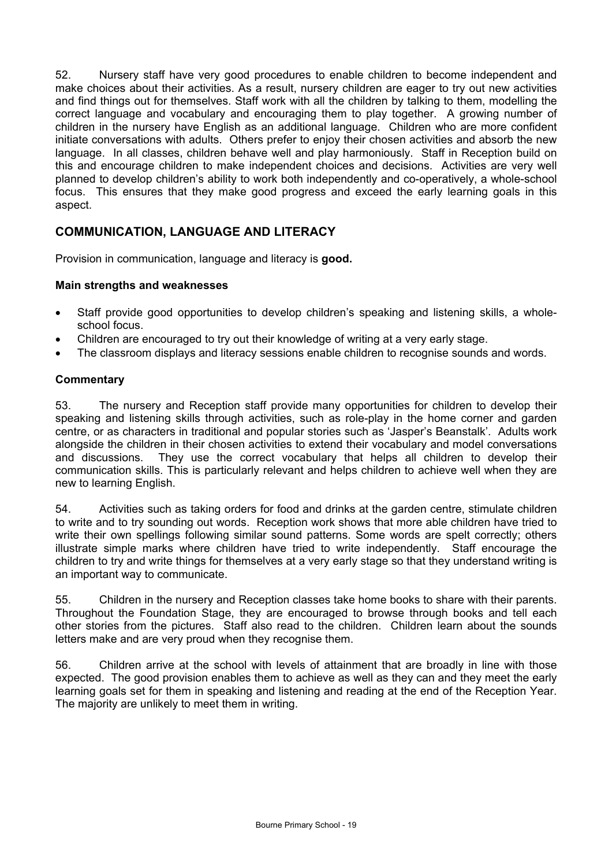52. Nursery staff have very good procedures to enable children to become independent and make choices about their activities. As a result, nursery children are eager to try out new activities and find things out for themselves. Staff work with all the children by talking to them, modelling the correct language and vocabulary and encouraging them to play together. A growing number of children in the nursery have English as an additional language. Children who are more confident initiate conversations with adults. Others prefer to enjoy their chosen activities and absorb the new language. In all classes, children behave well and play harmoniously. Staff in Reception build on this and encourage children to make independent choices and decisions. Activities are very well planned to develop children's ability to work both independently and co-operatively, a whole-school focus. This ensures that they make good progress and exceed the early learning goals in this aspect.

## **COMMUNICATION, LANGUAGE AND LITERACY**

Provision in communication, language and literacy is **good.** 

## **Main strengths and weaknesses**

- Staff provide good opportunities to develop children's speaking and listening skills, a wholeschool focus.
- Children are encouraged to try out their knowledge of writing at a very early stage.
- The classroom displays and literacy sessions enable children to recognise sounds and words.

## **Commentary**

53. The nursery and Reception staff provide many opportunities for children to develop their speaking and listening skills through activities, such as role-play in the home corner and garden centre, or as characters in traditional and popular stories such as 'Jasper's Beanstalk'. Adults work alongside the children in their chosen activities to extend their vocabulary and model conversations and discussions. They use the correct vocabulary that helps all children to develop their communication skills. This is particularly relevant and helps children to achieve well when they are new to learning English.

54. Activities such as taking orders for food and drinks at the garden centre, stimulate children to write and to try sounding out words. Reception work shows that more able children have tried to write their own spellings following similar sound patterns. Some words are spelt correctly; others illustrate simple marks where children have tried to write independently. Staff encourage the children to try and write things for themselves at a very early stage so that they understand writing is an important way to communicate.

55. Children in the nursery and Reception classes take home books to share with their parents. Throughout the Foundation Stage, they are encouraged to browse through books and tell each other stories from the pictures. Staff also read to the children. Children learn about the sounds letters make and are very proud when they recognise them.

56. Children arrive at the school with levels of attainment that are broadly in line with those expected. The good provision enables them to achieve as well as they can and they meet the early learning goals set for them in speaking and listening and reading at the end of the Reception Year. The majority are unlikely to meet them in writing.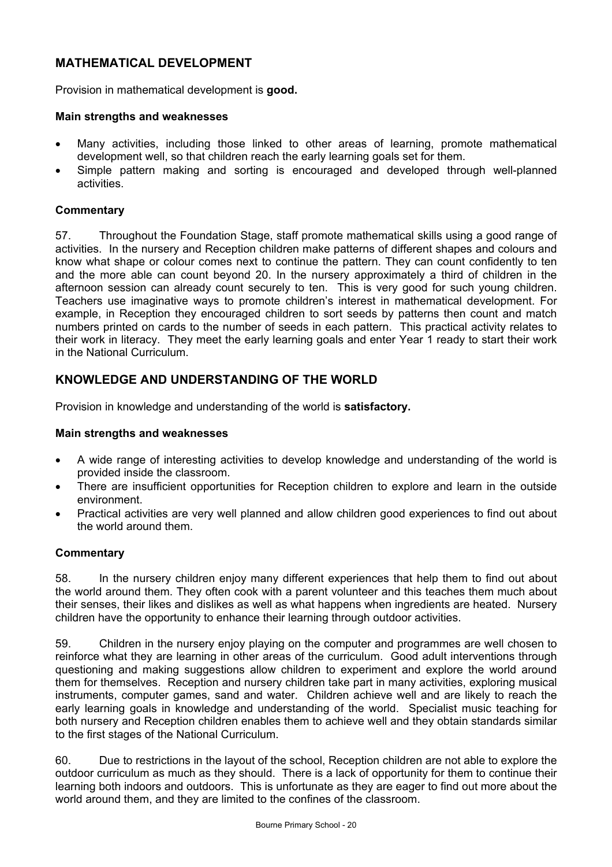## **MATHEMATICAL DEVELOPMENT**

Provision in mathematical development is **good.** 

#### **Main strengths and weaknesses**

- Many activities, including those linked to other areas of learning, promote mathematical development well, so that children reach the early learning goals set for them.
- Simple pattern making and sorting is encouraged and developed through well-planned activities.

#### **Commentary**

57. Throughout the Foundation Stage, staff promote mathematical skills using a good range of activities. In the nursery and Reception children make patterns of different shapes and colours and know what shape or colour comes next to continue the pattern. They can count confidently to ten and the more able can count beyond 20. In the nursery approximately a third of children in the afternoon session can already count securely to ten. This is very good for such young children. Teachers use imaginative ways to promote children's interest in mathematical development. For example, in Reception they encouraged children to sort seeds by patterns then count and match numbers printed on cards to the number of seeds in each pattern. This practical activity relates to their work in literacy. They meet the early learning goals and enter Year 1 ready to start their work in the National Curriculum.

## **KNOWLEDGE AND UNDERSTANDING OF THE WORLD**

Provision in knowledge and understanding of the world is **satisfactory.** 

#### **Main strengths and weaknesses**

- A wide range of interesting activities to develop knowledge and understanding of the world is provided inside the classroom.
- There are insufficient opportunities for Reception children to explore and learn in the outside environment.
- Practical activities are very well planned and allow children good experiences to find out about the world around them.

## **Commentary**

58. In the nursery children enjoy many different experiences that help them to find out about the world around them. They often cook with a parent volunteer and this teaches them much about their senses, their likes and dislikes as well as what happens when ingredients are heated. Nursery children have the opportunity to enhance their learning through outdoor activities.

59. Children in the nursery enjoy playing on the computer and programmes are well chosen to reinforce what they are learning in other areas of the curriculum. Good adult interventions through questioning and making suggestions allow children to experiment and explore the world around them for themselves. Reception and nursery children take part in many activities, exploring musical instruments, computer games, sand and water. Children achieve well and are likely to reach the early learning goals in knowledge and understanding of the world. Specialist music teaching for both nursery and Reception children enables them to achieve well and they obtain standards similar to the first stages of the National Curriculum.

60. Due to restrictions in the layout of the school, Reception children are not able to explore the outdoor curriculum as much as they should. There is a lack of opportunity for them to continue their learning both indoors and outdoors. This is unfortunate as they are eager to find out more about the world around them, and they are limited to the confines of the classroom.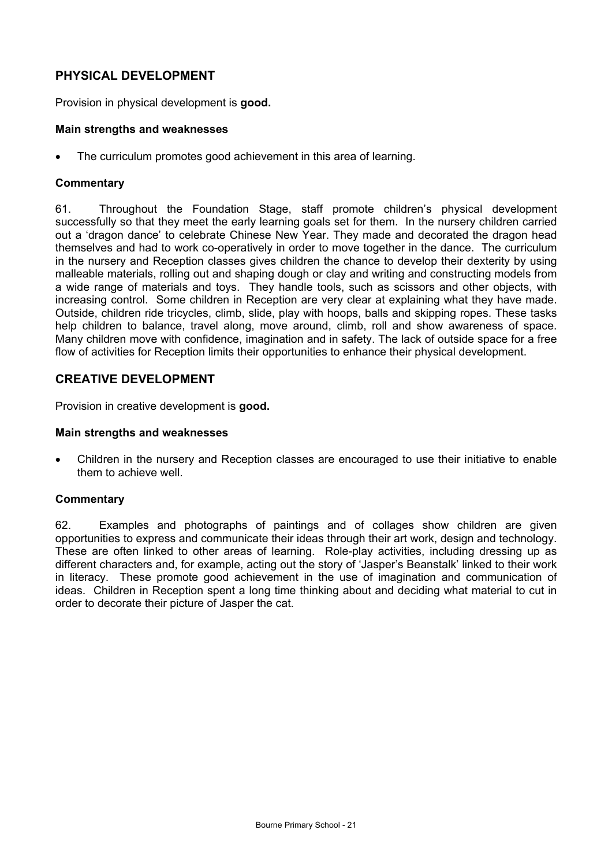## **PHYSICAL DEVELOPMENT**

Provision in physical development is **good.** 

#### **Main strengths and weaknesses**

The curriculum promotes good achievement in this area of learning.

#### **Commentary**

61. Throughout the Foundation Stage, staff promote children's physical development successfully so that they meet the early learning goals set for them. In the nursery children carried out a 'dragon dance' to celebrate Chinese New Year. They made and decorated the dragon head themselves and had to work co-operatively in order to move together in the dance. The curriculum in the nursery and Reception classes gives children the chance to develop their dexterity by using malleable materials, rolling out and shaping dough or clay and writing and constructing models from a wide range of materials and toys. They handle tools, such as scissors and other objects, with increasing control. Some children in Reception are very clear at explaining what they have made. Outside, children ride tricycles, climb, slide, play with hoops, balls and skipping ropes. These tasks help children to balance, travel along, move around, climb, roll and show awareness of space. Many children move with confidence, imagination and in safety. The lack of outside space for a free flow of activities for Reception limits their opportunities to enhance their physical development.

## **CREATIVE DEVELOPMENT**

Provision in creative development is **good.** 

#### **Main strengths and weaknesses**

• Children in the nursery and Reception classes are encouraged to use their initiative to enable them to achieve well.

## **Commentary**

62. Examples and photographs of paintings and of collages show children are given opportunities to express and communicate their ideas through their art work, design and technology. These are often linked to other areas of learning. Role-play activities, including dressing up as different characters and, for example, acting out the story of 'Jasper's Beanstalk' linked to their work in literacy. These promote good achievement in the use of imagination and communication of ideas. Children in Reception spent a long time thinking about and deciding what material to cut in order to decorate their picture of Jasper the cat.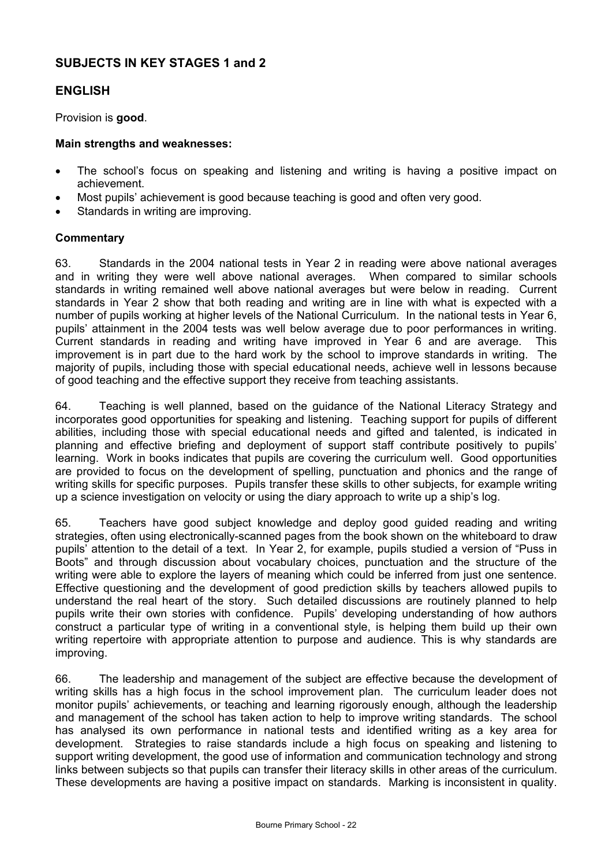## **SUBJECTS IN KEY STAGES 1 and 2**

## **ENGLISH**

Provision is **good**.

#### **Main strengths and weaknesses:**

- The school's focus on speaking and listening and writing is having a positive impact on achievement.
- Most pupils' achievement is good because teaching is good and often very good.
- Standards in writing are improving.

#### **Commentary**

63. Standards in the 2004 national tests in Year 2 in reading were above national averages and in writing they were well above national averages. When compared to similar schools standards in writing remained well above national averages but were below in reading. Current standards in Year 2 show that both reading and writing are in line with what is expected with a number of pupils working at higher levels of the National Curriculum. In the national tests in Year 6, pupils' attainment in the 2004 tests was well below average due to poor performances in writing. Current standards in reading and writing have improved in Year 6 and are average. This improvement is in part due to the hard work by the school to improve standards in writing. The majority of pupils, including those with special educational needs, achieve well in lessons because of good teaching and the effective support they receive from teaching assistants.

64. Teaching is well planned, based on the guidance of the National Literacy Strategy and incorporates good opportunities for speaking and listening. Teaching support for pupils of different abilities, including those with special educational needs and gifted and talented, is indicated in planning and effective briefing and deployment of support staff contribute positively to pupils' learning. Work in books indicates that pupils are covering the curriculum well. Good opportunities are provided to focus on the development of spelling, punctuation and phonics and the range of writing skills for specific purposes. Pupils transfer these skills to other subjects, for example writing up a science investigation on velocity or using the diary approach to write up a ship's log.

65. Teachers have good subject knowledge and deploy good guided reading and writing strategies, often using electronically-scanned pages from the book shown on the whiteboard to draw pupils' attention to the detail of a text. In Year 2, for example, pupils studied a version of "Puss in Boots" and through discussion about vocabulary choices, punctuation and the structure of the writing were able to explore the layers of meaning which could be inferred from just one sentence. Effective questioning and the development of good prediction skills by teachers allowed pupils to understand the real heart of the story. Such detailed discussions are routinely planned to help pupils write their own stories with confidence. Pupils' developing understanding of how authors construct a particular type of writing in a conventional style, is helping them build up their own writing repertoire with appropriate attention to purpose and audience. This is why standards are improving.

66. The leadership and management of the subject are effective because the development of writing skills has a high focus in the school improvement plan. The curriculum leader does not monitor pupils' achievements, or teaching and learning rigorously enough, although the leadership and management of the school has taken action to help to improve writing standards. The school has analysed its own performance in national tests and identified writing as a key area for development. Strategies to raise standards include a high focus on speaking and listening to support writing development, the good use of information and communication technology and strong links between subjects so that pupils can transfer their literacy skills in other areas of the curriculum. These developments are having a positive impact on standards. Marking is inconsistent in quality.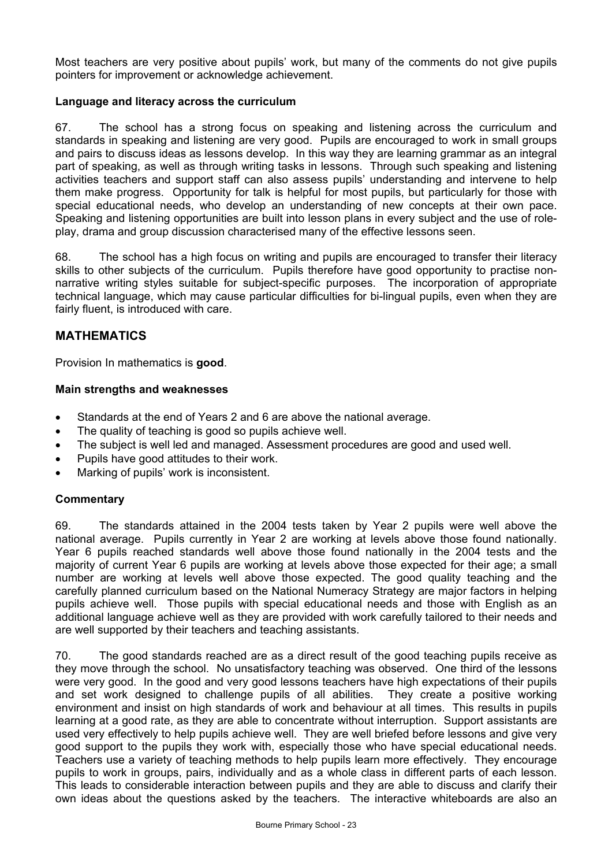Most teachers are very positive about pupils' work, but many of the comments do not give pupils pointers for improvement or acknowledge achievement.

## **Language and literacy across the curriculum**

67. The school has a strong focus on speaking and listening across the curriculum and standards in speaking and listening are very good. Pupils are encouraged to work in small groups and pairs to discuss ideas as lessons develop. In this way they are learning grammar as an integral part of speaking, as well as through writing tasks in lessons. Through such speaking and listening activities teachers and support staff can also assess pupils' understanding and intervene to help them make progress. Opportunity for talk is helpful for most pupils, but particularly for those with special educational needs, who develop an understanding of new concepts at their own pace. Speaking and listening opportunities are built into lesson plans in every subject and the use of roleplay, drama and group discussion characterised many of the effective lessons seen.

68. The school has a high focus on writing and pupils are encouraged to transfer their literacy skills to other subjects of the curriculum. Pupils therefore have good opportunity to practise nonnarrative writing styles suitable for subject-specific purposes. The incorporation of appropriate technical language, which may cause particular difficulties for bi-lingual pupils, even when they are fairly fluent, is introduced with care.

## **MATHEMATICS**

Provision In mathematics is **good**.

## **Main strengths and weaknesses**

- Standards at the end of Years 2 and 6 are above the national average.
- The quality of teaching is good so pupils achieve well.
- The subject is well led and managed. Assessment procedures are good and used well.
- Pupils have good attitudes to their work.
- Marking of pupils' work is inconsistent.

## **Commentary**

69. The standards attained in the 2004 tests taken by Year 2 pupils were well above the national average. Pupils currently in Year 2 are working at levels above those found nationally. Year 6 pupils reached standards well above those found nationally in the 2004 tests and the majority of current Year 6 pupils are working at levels above those expected for their age; a small number are working at levels well above those expected. The good quality teaching and the carefully planned curriculum based on the National Numeracy Strategy are major factors in helping pupils achieve well. Those pupils with special educational needs and those with English as an additional language achieve well as they are provided with work carefully tailored to their needs and are well supported by their teachers and teaching assistants.

70. The good standards reached are as a direct result of the good teaching pupils receive as they move through the school. No unsatisfactory teaching was observed. One third of the lessons were very good. In the good and very good lessons teachers have high expectations of their pupils and set work designed to challenge pupils of all abilities. They create a positive working environment and insist on high standards of work and behaviour at all times. This results in pupils learning at a good rate, as they are able to concentrate without interruption. Support assistants are used very effectively to help pupils achieve well. They are well briefed before lessons and give very good support to the pupils they work with, especially those who have special educational needs. Teachers use a variety of teaching methods to help pupils learn more effectively. They encourage pupils to work in groups, pairs, individually and as a whole class in different parts of each lesson. This leads to considerable interaction between pupils and they are able to discuss and clarify their own ideas about the questions asked by the teachers. The interactive whiteboards are also an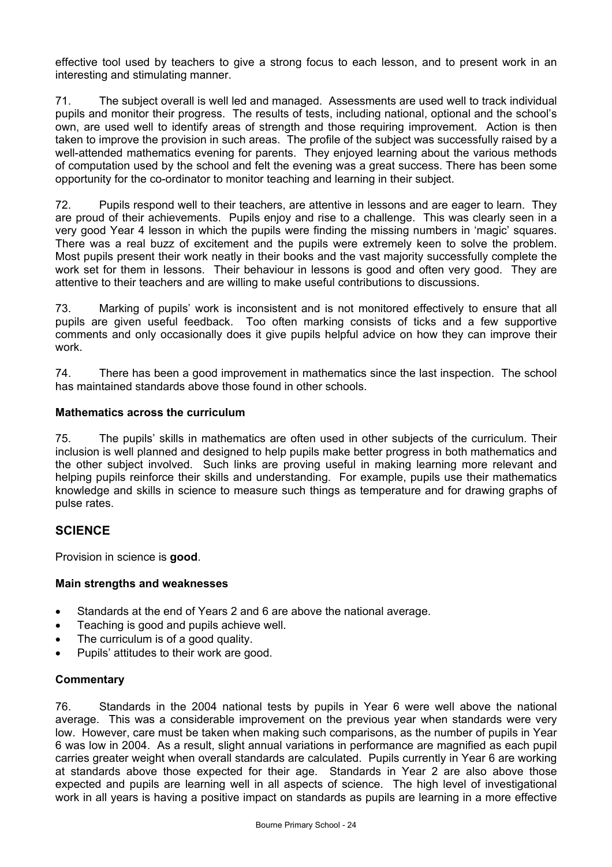effective tool used by teachers to give a strong focus to each lesson, and to present work in an interesting and stimulating manner.

71. The subject overall is well led and managed. Assessments are used well to track individual pupils and monitor their progress. The results of tests, including national, optional and the school's own, are used well to identify areas of strength and those requiring improvement. Action is then taken to improve the provision in such areas. The profile of the subject was successfully raised by a well-attended mathematics evening for parents. They enjoyed learning about the various methods of computation used by the school and felt the evening was a great success. There has been some opportunity for the co-ordinator to monitor teaching and learning in their subject.

72. Pupils respond well to their teachers, are attentive in lessons and are eager to learn. They are proud of their achievements. Pupils enjoy and rise to a challenge. This was clearly seen in a very good Year 4 lesson in which the pupils were finding the missing numbers in 'magic' squares. There was a real buzz of excitement and the pupils were extremely keen to solve the problem. Most pupils present their work neatly in their books and the vast majority successfully complete the work set for them in lessons. Their behaviour in lessons is good and often very good. They are attentive to their teachers and are willing to make useful contributions to discussions.

73. Marking of pupils' work is inconsistent and is not monitored effectively to ensure that all pupils are given useful feedback. Too often marking consists of ticks and a few supportive comments and only occasionally does it give pupils helpful advice on how they can improve their work.

74. There has been a good improvement in mathematics since the last inspection. The school has maintained standards above those found in other schools.

## **Mathematics across the curriculum**

75. The pupils' skills in mathematics are often used in other subjects of the curriculum. Their inclusion is well planned and designed to help pupils make better progress in both mathematics and the other subject involved. Such links are proving useful in making learning more relevant and helping pupils reinforce their skills and understanding. For example, pupils use their mathematics knowledge and skills in science to measure such things as temperature and for drawing graphs of pulse rates.

## **SCIENCE**

Provision in science is **good**.

## **Main strengths and weaknesses**

- Standards at the end of Years 2 and 6 are above the national average.
- Teaching is good and pupils achieve well.
- The curriculum is of a good quality.
- Pupils' attitudes to their work are good.

## **Commentary**

76. Standards in the 2004 national tests by pupils in Year 6 were well above the national average. This was a considerable improvement on the previous year when standards were very low. However, care must be taken when making such comparisons, as the number of pupils in Year 6 was low in 2004. As a result, slight annual variations in performance are magnified as each pupil carries greater weight when overall standards are calculated. Pupils currently in Year 6 are working at standards above those expected for their age. Standards in Year 2 are also above those expected and pupils are learning well in all aspects of science. The high level of investigational work in all years is having a positive impact on standards as pupils are learning in a more effective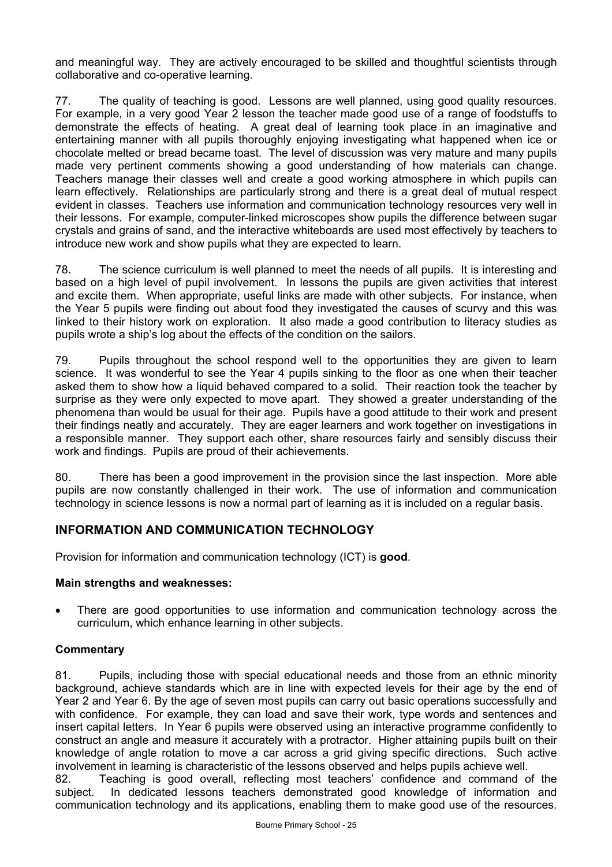and meaningful way. They are actively encouraged to be skilled and thoughtful scientists through collaborative and co-operative learning.

77. The quality of teaching is good. Lessons are well planned, using good quality resources. For example, in a very good Year 2 lesson the teacher made good use of a range of foodstuffs to demonstrate the effects of heating. A great deal of learning took place in an imaginative and entertaining manner with all pupils thoroughly enjoying investigating what happened when ice or chocolate melted or bread became toast. The level of discussion was very mature and many pupils made very pertinent comments showing a good understanding of how materials can change. Teachers manage their classes well and create a good working atmosphere in which pupils can learn effectively. Relationships are particularly strong and there is a great deal of mutual respect evident in classes. Teachers use information and communication technology resources very well in their lessons. For example, computer-linked microscopes show pupils the difference between sugar crystals and grains of sand, and the interactive whiteboards are used most effectively by teachers to introduce new work and show pupils what they are expected to learn.

78. The science curriculum is well planned to meet the needs of all pupils. It is interesting and based on a high level of pupil involvement. In lessons the pupils are given activities that interest and excite them. When appropriate, useful links are made with other subjects. For instance, when the Year 5 pupils were finding out about food they investigated the causes of scurvy and this was linked to their history work on exploration. It also made a good contribution to literacy studies as pupils wrote a ship's log about the effects of the condition on the sailors.

79. Pupils throughout the school respond well to the opportunities they are given to learn science. It was wonderful to see the Year 4 pupils sinking to the floor as one when their teacher asked them to show how a liquid behaved compared to a solid. Their reaction took the teacher by surprise as they were only expected to move apart. They showed a greater understanding of the phenomena than would be usual for their age. Pupils have a good attitude to their work and present their findings neatly and accurately. They are eager learners and work together on investigations in a responsible manner. They support each other, share resources fairly and sensibly discuss their work and findings. Pupils are proud of their achievements.

80. There has been a good improvement in the provision since the last inspection. More able pupils are now constantly challenged in their work. The use of information and communication technology in science lessons is now a normal part of learning as it is included on a regular basis.

## **INFORMATION AND COMMUNICATION TECHNOLOGY**

Provision for information and communication technology (ICT) is **good**.

## **Main strengths and weaknesses:**

• There are good opportunities to use information and communication technology across the curriculum, which enhance learning in other subjects.

## **Commentary**

81. Pupils, including those with special educational needs and those from an ethnic minority background, achieve standards which are in line with expected levels for their age by the end of Year 2 and Year 6. By the age of seven most pupils can carry out basic operations successfully and with confidence. For example, they can load and save their work, type words and sentences and insert capital letters. In Year 6 pupils were observed using an interactive programme confidently to construct an angle and measure it accurately with a protractor. Higher attaining pupils built on their knowledge of angle rotation to move a car across a grid giving specific directions. Such active involvement in learning is characteristic of the lessons observed and helps pupils achieve well.

82. Teaching is good overall, reflecting most teachers' confidence and command of the subject. In dedicated lessons teachers demonstrated good knowledge of information and communication technology and its applications, enabling them to make good use of the resources.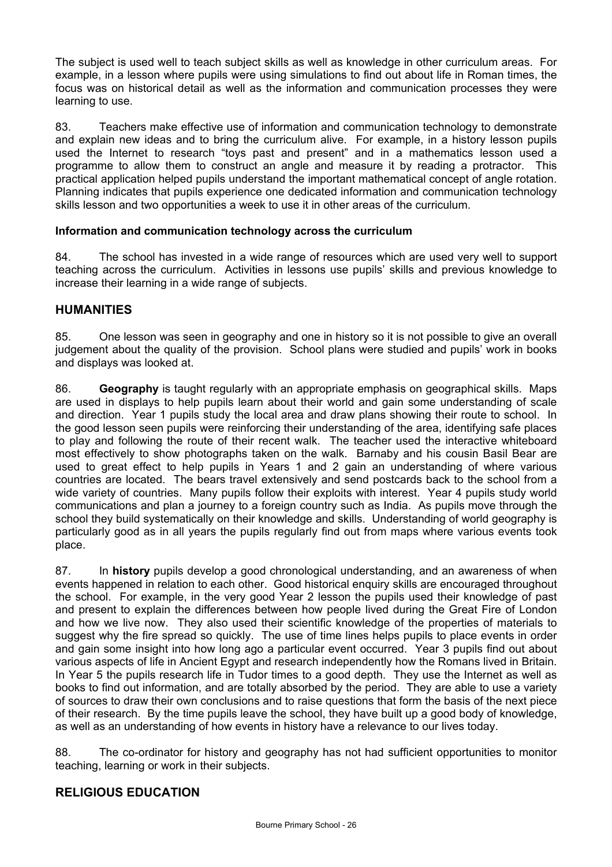The subject is used well to teach subject skills as well as knowledge in other curriculum areas. For example, in a lesson where pupils were using simulations to find out about life in Roman times, the focus was on historical detail as well as the information and communication processes they were learning to use.

83. Teachers make effective use of information and communication technology to demonstrate and explain new ideas and to bring the curriculum alive. For example, in a history lesson pupils used the Internet to research "toys past and present" and in a mathematics lesson used a programme to allow them to construct an angle and measure it by reading a protractor. This practical application helped pupils understand the important mathematical concept of angle rotation. Planning indicates that pupils experience one dedicated information and communication technology skills lesson and two opportunities a week to use it in other areas of the curriculum.

## **Information and communication technology across the curriculum**

84. The school has invested in a wide range of resources which are used very well to support teaching across the curriculum. Activities in lessons use pupils' skills and previous knowledge to increase their learning in a wide range of subjects.

## **HUMANITIES**

85. One lesson was seen in geography and one in history so it is not possible to give an overall judgement about the quality of the provision. School plans were studied and pupils' work in books and displays was looked at.

86. **Geography** is taught regularly with an appropriate emphasis on geographical skills. Maps are used in displays to help pupils learn about their world and gain some understanding of scale and direction. Year 1 pupils study the local area and draw plans showing their route to school. In the good lesson seen pupils were reinforcing their understanding of the area, identifying safe places to play and following the route of their recent walk. The teacher used the interactive whiteboard most effectively to show photographs taken on the walk. Barnaby and his cousin Basil Bear are used to great effect to help pupils in Years 1 and 2 gain an understanding of where various countries are located. The bears travel extensively and send postcards back to the school from a wide variety of countries. Many pupils follow their exploits with interest. Year 4 pupils study world communications and plan a journey to a foreign country such as India. As pupils move through the school they build systematically on their knowledge and skills. Understanding of world geography is particularly good as in all years the pupils regularly find out from maps where various events took place.

87. In **history** pupils develop a good chronological understanding, and an awareness of when events happened in relation to each other. Good historical enquiry skills are encouraged throughout the school. For example, in the very good Year 2 lesson the pupils used their knowledge of past and present to explain the differences between how people lived during the Great Fire of London and how we live now. They also used their scientific knowledge of the properties of materials to suggest why the fire spread so quickly. The use of time lines helps pupils to place events in order and gain some insight into how long ago a particular event occurred. Year 3 pupils find out about various aspects of life in Ancient Egypt and research independently how the Romans lived in Britain. In Year 5 the pupils research life in Tudor times to a good depth. They use the Internet as well as books to find out information, and are totally absorbed by the period. They are able to use a variety of sources to draw their own conclusions and to raise questions that form the basis of the next piece of their research. By the time pupils leave the school, they have built up a good body of knowledge, as well as an understanding of how events in history have a relevance to our lives today.

88. The co-ordinator for history and geography has not had sufficient opportunities to monitor teaching, learning or work in their subjects.

## **RELIGIOUS EDUCATION**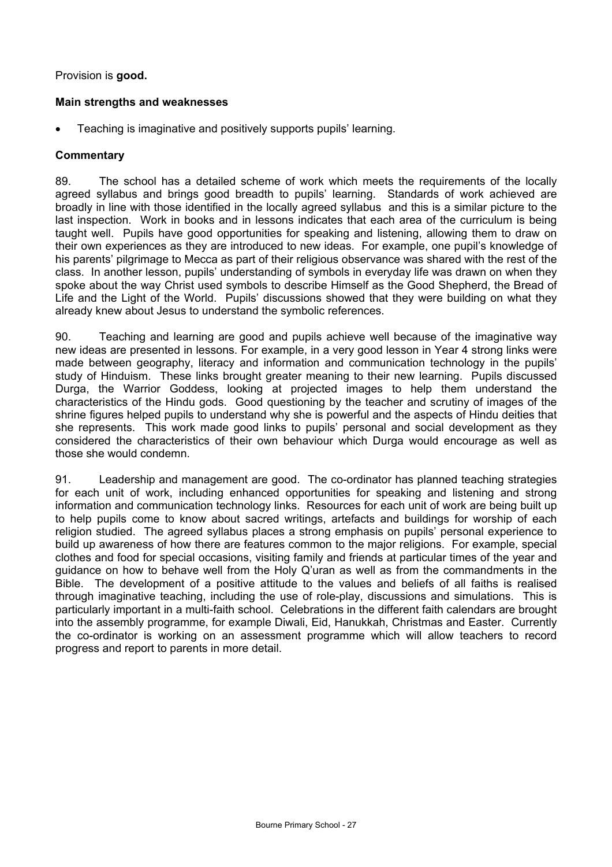## Provision is **good.**

## **Main strengths and weaknesses**

• Teaching is imaginative and positively supports pupils' learning.

## **Commentary**

89. The school has a detailed scheme of work which meets the requirements of the locally agreed syllabus and brings good breadth to pupils' learning. Standards of work achieved are broadly in line with those identified in the locally agreed syllabus and this is a similar picture to the last inspection. Work in books and in lessons indicates that each area of the curriculum is being taught well. Pupils have good opportunities for speaking and listening, allowing them to draw on their own experiences as they are introduced to new ideas. For example, one pupil's knowledge of his parents' pilgrimage to Mecca as part of their religious observance was shared with the rest of the class. In another lesson, pupils' understanding of symbols in everyday life was drawn on when they spoke about the way Christ used symbols to describe Himself as the Good Shepherd, the Bread of Life and the Light of the World. Pupils' discussions showed that they were building on what they already knew about Jesus to understand the symbolic references.

90. Teaching and learning are good and pupils achieve well because of the imaginative way new ideas are presented in lessons. For example, in a very good lesson in Year 4 strong links were made between geography, literacy and information and communication technology in the pupils' study of Hinduism. These links brought greater meaning to their new learning. Pupils discussed Durga, the Warrior Goddess, looking at projected images to help them understand the characteristics of the Hindu gods. Good questioning by the teacher and scrutiny of images of the shrine figures helped pupils to understand why she is powerful and the aspects of Hindu deities that she represents. This work made good links to pupils' personal and social development as they considered the characteristics of their own behaviour which Durga would encourage as well as those she would condemn.

91. Leadership and management are good. The co-ordinator has planned teaching strategies for each unit of work, including enhanced opportunities for speaking and listening and strong information and communication technology links. Resources for each unit of work are being built up to help pupils come to know about sacred writings, artefacts and buildings for worship of each religion studied. The agreed syllabus places a strong emphasis on pupils' personal experience to build up awareness of how there are features common to the major religions. For example, special clothes and food for special occasions, visiting family and friends at particular times of the year and guidance on how to behave well from the Holy Q'uran as well as from the commandments in the Bible. The development of a positive attitude to the values and beliefs of all faiths is realised through imaginative teaching, including the use of role-play, discussions and simulations. This is particularly important in a multi-faith school. Celebrations in the different faith calendars are brought into the assembly programme, for example Diwali, Eid, Hanukkah, Christmas and Easter. Currently the co-ordinator is working on an assessment programme which will allow teachers to record progress and report to parents in more detail.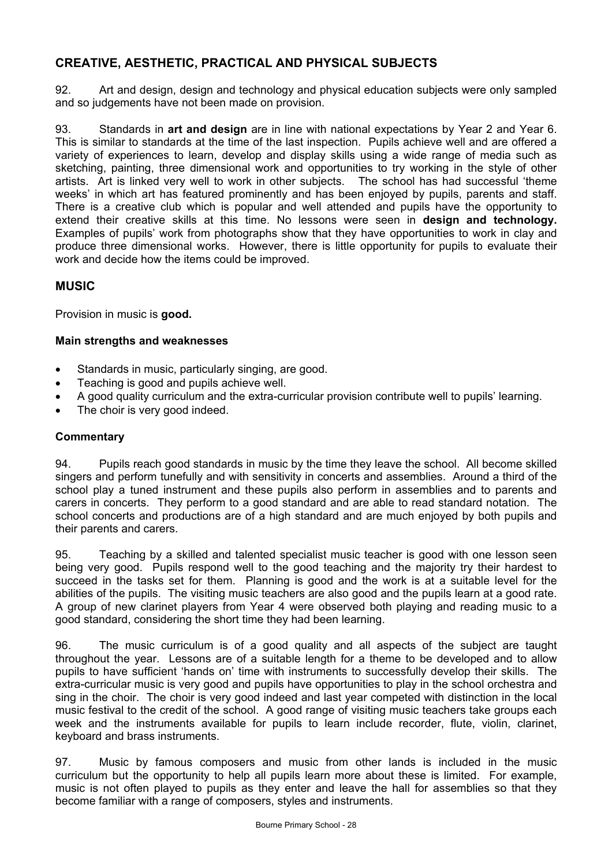## **CREATIVE, AESTHETIC, PRACTICAL AND PHYSICAL SUBJECTS**

92. Art and design, design and technology and physical education subjects were only sampled and so judgements have not been made on provision.

93. Standards in **art and design** are in line with national expectations by Year 2 and Year 6. This is similar to standards at the time of the last inspection. Pupils achieve well and are offered a variety of experiences to learn, develop and display skills using a wide range of media such as sketching, painting, three dimensional work and opportunities to try working in the style of other artists. Art is linked very well to work in other subjects. The school has had successful 'theme weeks' in which art has featured prominently and has been enjoyed by pupils, parents and staff. There is a creative club which is popular and well attended and pupils have the opportunity to extend their creative skills at this time. No lessons were seen in **design and technology.**  Examples of pupils' work from photographs show that they have opportunities to work in clay and produce three dimensional works. However, there is little opportunity for pupils to evaluate their work and decide how the items could be improved.

## **MUSIC**

Provision in music is **good.** 

## **Main strengths and weaknesses**

- Standards in music, particularly singing, are good.
- Teaching is good and pupils achieve well.
- A good quality curriculum and the extra-curricular provision contribute well to pupils' learning.
- The choir is very good indeed.

## **Commentary**

94. Pupils reach good standards in music by the time they leave the school. All become skilled singers and perform tunefully and with sensitivity in concerts and assemblies. Around a third of the school play a tuned instrument and these pupils also perform in assemblies and to parents and carers in concerts. They perform to a good standard and are able to read standard notation. The school concerts and productions are of a high standard and are much enjoyed by both pupils and their parents and carers.

95. Teaching by a skilled and talented specialist music teacher is good with one lesson seen being very good. Pupils respond well to the good teaching and the majority try their hardest to succeed in the tasks set for them. Planning is good and the work is at a suitable level for the abilities of the pupils. The visiting music teachers are also good and the pupils learn at a good rate. A group of new clarinet players from Year 4 were observed both playing and reading music to a good standard, considering the short time they had been learning.

96. The music curriculum is of a good quality and all aspects of the subject are taught throughout the year. Lessons are of a suitable length for a theme to be developed and to allow pupils to have sufficient 'hands on' time with instruments to successfully develop their skills. The extra-curricular music is very good and pupils have opportunities to play in the school orchestra and sing in the choir. The choir is very good indeed and last year competed with distinction in the local music festival to the credit of the school. A good range of visiting music teachers take groups each week and the instruments available for pupils to learn include recorder, flute, violin, clarinet, keyboard and brass instruments.

97. Music by famous composers and music from other lands is included in the music curriculum but the opportunity to help all pupils learn more about these is limited. For example, music is not often played to pupils as they enter and leave the hall for assemblies so that they become familiar with a range of composers, styles and instruments.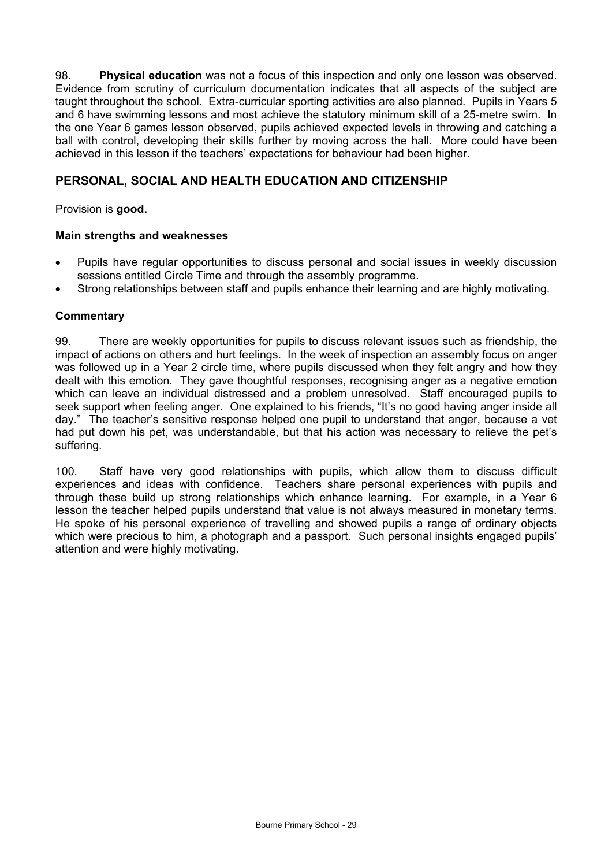98. **Physical education** was not a focus of this inspection and only one lesson was observed. Evidence from scrutiny of curriculum documentation indicates that all aspects of the subject are taught throughout the school. Extra-curricular sporting activities are also planned. Pupils in Years 5 and 6 have swimming lessons and most achieve the statutory minimum skill of a 25-metre swim. In the one Year 6 games lesson observed, pupils achieved expected levels in throwing and catching a ball with control, developing their skills further by moving across the hall. More could have been achieved in this lesson if the teachers' expectations for behaviour had been higher.

## **PERSONAL, SOCIAL AND HEALTH EDUCATION AND CITIZENSHIP**

Provision is **good.**

## **Main strengths and weaknesses**

- Pupils have regular opportunities to discuss personal and social issues in weekly discussion sessions entitled Circle Time and through the assembly programme.
- Strong relationships between staff and pupils enhance their learning and are highly motivating.

## **Commentary**

99. There are weekly opportunities for pupils to discuss relevant issues such as friendship, the impact of actions on others and hurt feelings. In the week of inspection an assembly focus on anger was followed up in a Year 2 circle time, where pupils discussed when they felt angry and how they dealt with this emotion. They gave thoughtful responses, recognising anger as a negative emotion which can leave an individual distressed and a problem unresolved. Staff encouraged pupils to seek support when feeling anger. One explained to his friends, "It's no good having anger inside all day." The teacher's sensitive response helped one pupil to understand that anger, because a vet had put down his pet, was understandable, but that his action was necessary to relieve the pet's suffering.

100. Staff have very good relationships with pupils, which allow them to discuss difficult experiences and ideas with confidence. Teachers share personal experiences with pupils and through these build up strong relationships which enhance learning. For example, in a Year 6 lesson the teacher helped pupils understand that value is not always measured in monetary terms. He spoke of his personal experience of travelling and showed pupils a range of ordinary objects which were precious to him, a photograph and a passport. Such personal insights engaged pupils' attention and were highly motivating.